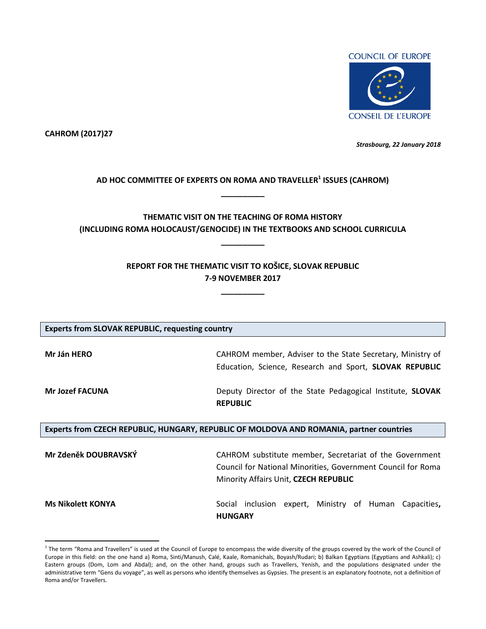

**CAHROM (2017)27**

 $\overline{a}$ 

*Strasbourg, 22 January 2018*

# **AD HOC COMMITTEE OF EXPERTS ON ROMA AND TRAVELLER<sup>1</sup> ISSUES (CAHROM) \_\_\_\_\_\_\_\_\_\_**

# **THEMATIC VISIT ON THE TEACHING OF ROMA HISTORY (INCLUDING ROMA HOLOCAUST/GENOCIDE) IN THE TEXTBOOKS AND SCHOOL CURRICULA**

**\_\_\_\_\_\_\_\_\_\_**

# **REPORT FOR THE THEMATIC VISIT TO KOŠICE, SLOVAK REPUBLIC 7-9 NOVEMBER 2017**

**\_\_\_\_\_\_\_\_\_\_**

| <b>Experts from SLOVAK REPUBLIC, requesting country</b>                                  |                                                                   |  |  |
|------------------------------------------------------------------------------------------|-------------------------------------------------------------------|--|--|
|                                                                                          |                                                                   |  |  |
| Mr Ján HERO                                                                              | CAHROM member, Adviser to the State Secretary, Ministry of        |  |  |
|                                                                                          | Education, Science, Research and Sport, SLOVAK REPUBLIC           |  |  |
| <b>Mr Jozef FACUNA</b>                                                                   | Deputy Director of the State Pedagogical Institute, <b>SLOVAK</b> |  |  |
|                                                                                          | <b>REPUBLIC</b>                                                   |  |  |
|                                                                                          |                                                                   |  |  |
| Experts from CZECH REPUBLIC, HUNGARY, REPUBLIC OF MOLDOVA AND ROMANIA, partner countries |                                                                   |  |  |
|                                                                                          |                                                                   |  |  |
| Mr Zdeněk DOUBRAVSKÝ                                                                     | CAHROM substitute member, Secretariat of the Government           |  |  |
|                                                                                          | Council for National Minorities, Government Council for Roma      |  |  |
|                                                                                          | Minority Affairs Unit, CZECH REPUBLIC                             |  |  |
| <b>Ms Nikolett KONYA</b>                                                                 | inclusion expert, Ministry of Human<br>Social<br>Capacities,      |  |  |
|                                                                                          | <b>HUNGARY</b>                                                    |  |  |

 $^1$  The term "Roma and Travellers" is used at the Council of Europe to encompass the wide diversity of the groups covered by the work of the Council of Europe in this field: on the one hand a) Roma, Sinti/Manush, Calé, Kaale, Romanichals, Boyash/Rudari; b) Balkan Egyptians (Egyptians and Ashkali); c) Eastern groups (Dom, Lom and Abdal); and, on the other hand, groups such as Travellers, Yenish, and the populations designated under the administrative term "Gens du voyage", as well as persons who identify themselves as Gypsies. The present is an explanatory footnote, not a definition of Roma and/or Travellers.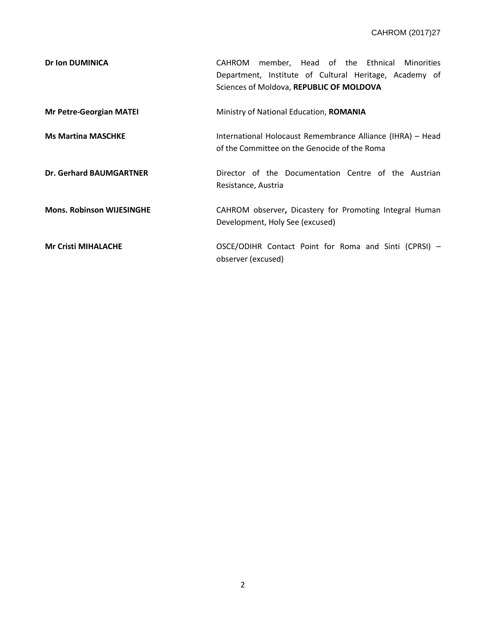| <b>Dr Ion DUMINICA</b>           | member, Head of the Ethnical Minorities<br>CAHROM<br>Department, Institute of Cultural Heritage, Academy of<br>Sciences of Moldova, REPUBLIC OF MOLDOVA |
|----------------------------------|---------------------------------------------------------------------------------------------------------------------------------------------------------|
| <b>Mr Petre-Georgian MATEI</b>   | Ministry of National Education, <b>ROMANIA</b>                                                                                                          |
| <b>Ms Martina MASCHKE</b>        | International Holocaust Remembrance Alliance (IHRA) - Head<br>of the Committee on the Genocide of the Roma                                              |
| <b>Dr. Gerhard BAUMGARTNER</b>   | Director of the Documentation Centre of the Austrian<br>Resistance, Austria                                                                             |
| <b>Mons. Robinson WIJESINGHE</b> | CAHROM observer, Dicastery for Promoting Integral Human<br>Development, Holy See (excused)                                                              |
| <b>Mr Cristi MIHALACHE</b>       | OSCE/ODIHR Contact Point for Roma and Sinti (CPRSI) -<br>observer (excused)                                                                             |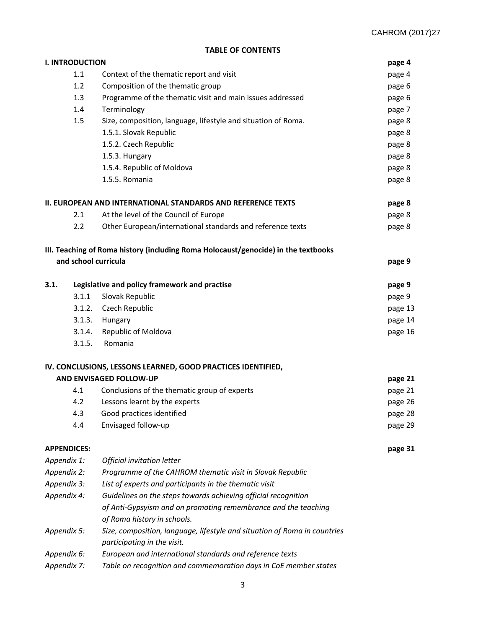## **TABLE OF CONTENTS**

|             | <b>I. INTRODUCTION</b>                                           |                                                                                    | page 4  |  |
|-------------|------------------------------------------------------------------|------------------------------------------------------------------------------------|---------|--|
|             | 1.1                                                              | Context of the thematic report and visit                                           | page 4  |  |
|             | 1.2                                                              | Composition of the thematic group                                                  | page 6  |  |
|             | 1.3<br>Programme of the thematic visit and main issues addressed |                                                                                    |         |  |
|             | 1.4<br>Terminology                                               |                                                                                    |         |  |
| 1.5         |                                                                  | Size, composition, language, lifestyle and situation of Roma.                      | page 8  |  |
|             |                                                                  | 1.5.1. Slovak Republic                                                             | page 8  |  |
|             |                                                                  | 1.5.2. Czech Republic                                                              | page 8  |  |
|             |                                                                  | 1.5.3. Hungary                                                                     | page 8  |  |
|             |                                                                  | 1.5.4. Republic of Moldova                                                         | page 8  |  |
|             |                                                                  | 1.5.5. Romania                                                                     | page 8  |  |
|             |                                                                  | <b>II. EUROPEAN AND INTERNATIONAL STANDARDS AND REFERENCE TEXTS</b>                | page 8  |  |
|             | 2.1                                                              | At the level of the Council of Europe                                              | page 8  |  |
|             | 2.2                                                              | Other European/international standards and reference texts                         | page 8  |  |
|             |                                                                  | III. Teaching of Roma history (including Roma Holocaust/genocide) in the textbooks |         |  |
|             | and school curricula                                             |                                                                                    | page 9  |  |
| 3.1.        |                                                                  | Legislative and policy framework and practise                                      | page 9  |  |
|             | 3.1.1                                                            | Slovak Republic                                                                    | page 9  |  |
|             | 3.1.2.                                                           | Czech Republic                                                                     | page 13 |  |
|             | 3.1.3.                                                           | Hungary                                                                            | page 14 |  |
|             | 3.1.4.                                                           | Republic of Moldova                                                                | page 16 |  |
|             | 3.1.5.                                                           | Romania                                                                            |         |  |
|             |                                                                  | IV. CONCLUSIONS, LESSONS LEARNED, GOOD PRACTICES IDENTIFIED,                       |         |  |
|             |                                                                  | AND ENVISAGED FOLLOW-UP                                                            | page 21 |  |
|             | 4.1                                                              | Conclusions of the thematic group of experts                                       | page 21 |  |
|             | 4.2                                                              | Lessons learnt by the experts                                                      | page 26 |  |
|             | 4.3                                                              | Good practices identified                                                          | page 28 |  |
|             | 4.4                                                              | Envisaged follow-up                                                                | page 29 |  |
|             | <b>APPENDICES:</b>                                               |                                                                                    | page 31 |  |
| Appendix 1: |                                                                  | Official invitation letter                                                         |         |  |
| Appendix 2: |                                                                  | Programme of the CAHROM thematic visit in Slovak Republic                          |         |  |
| Appendix 3: |                                                                  | List of experts and participants in the thematic visit                             |         |  |
| Appendix 4: |                                                                  | Guidelines on the steps towards achieving official recognition                     |         |  |
|             |                                                                  | of Anti-Gypsyism and on promoting remembrance and the teaching                     |         |  |
|             |                                                                  | of Roma history in schools.                                                        |         |  |
| Appendix 5: |                                                                  | Size, composition, language, lifestyle and situation of Roma in countries          |         |  |
|             |                                                                  | participating in the visit.                                                        |         |  |
| Appendix 6: |                                                                  | European and international standards and reference texts                           |         |  |
| Appendix 7: |                                                                  | Table on recognition and commemoration days in CoE member states                   |         |  |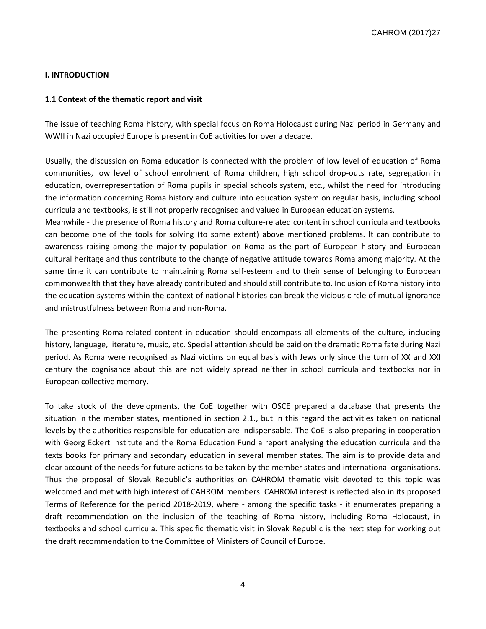## **I. INTRODUCTION**

## **1.1 Context of the thematic report and visit**

The issue of teaching Roma history, with special focus on Roma Holocaust during Nazi period in Germany and WWII in Nazi occupied Europe is present in CoE activities for over a decade.

Usually, the discussion on Roma education is connected with the problem of low level of education of Roma communities, low level of school enrolment of Roma children, high school drop-outs rate, segregation in education, overrepresentation of Roma pupils in special schools system, etc., whilst the need for introducing the information concerning Roma history and culture into education system on regular basis, including school curricula and textbooks, is still not properly recognised and valued in European education systems.

Meanwhile - the presence of Roma history and Roma culture-related content in school curricula and textbooks can become one of the tools for solving (to some extent) above mentioned problems. It can contribute to awareness raising among the majority population on Roma as the part of European history and European cultural heritage and thus contribute to the change of negative attitude towards Roma among majority. At the same time it can contribute to maintaining Roma self-esteem and to their sense of belonging to European commonwealth that they have already contributed and should still contribute to. Inclusion of Roma history into the education systems within the context of national histories can break the vicious circle of mutual ignorance and mistrustfulness between Roma and non-Roma.

The presenting Roma-related content in education should encompass all elements of the culture, including history, language, literature, music, etc. Special attention should be paid on the dramatic Roma fate during Nazi period. As Roma were recognised as Nazi victims on equal basis with Jews only since the turn of XX and XXI century the cognisance about this are not widely spread neither in school curricula and textbooks nor in European collective memory.

To take stock of the developments, the CoE together with OSCE prepared a database that presents the situation in the member states, mentioned in section 2.1., but in this regard the activities taken on national levels by the authorities responsible for education are indispensable. The CoE is also preparing in cooperation with Georg Eckert Institute and the Roma Education Fund a report analysing the education curricula and the texts books for primary and secondary education in several member states. The aim is to provide data and clear account of the needs for future actions to be taken by the member states and international organisations. Thus the proposal of Slovak Republic's authorities on CAHROM thematic visit devoted to this topic was welcomed and met with high interest of CAHROM members. CAHROM interest is reflected also in its proposed Terms of Reference for the period 2018-2019, where - among the specific tasks - it enumerates preparing a draft recommendation on the inclusion of the teaching of Roma history, including Roma Holocaust, in textbooks and school curricula. This specific thematic visit in Slovak Republic is the next step for working out the draft recommendation to the Committee of Ministers of Council of Europe.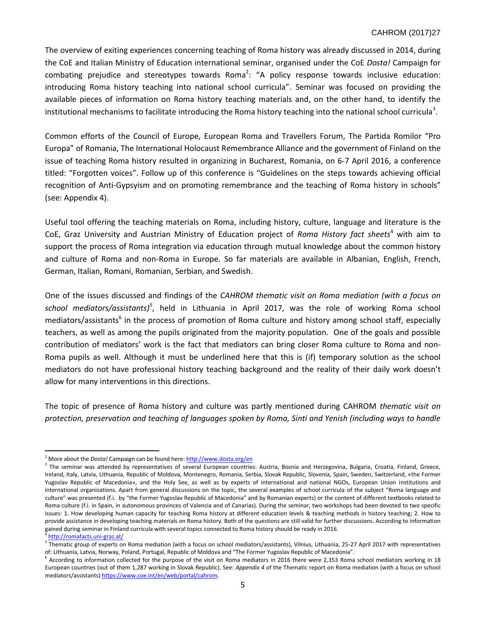## CAHROM (2017)27

The overview of exiting experiences concerning teaching of Roma history was already discussed in 2014, during the CoE and Italian Ministry of Education international seminar, organised under the CoE *Dosta!* Campaign for combating prejudice and stereotypes towards Roma<sup>2</sup>: "A policy response towards inclusive education: introducing Roma history teaching into national school curricula". Seminar was focused on providing the available pieces of information on Roma history teaching materials and, on the other hand, to identify the institutional mechanisms to facilitate introducing the Roma history teaching into the national school curricula<sup>3</sup>.

Common efforts of the Council of Europe, European Roma and Travellers Forum, The Partida Romilor "Pro Europa" of Romania, The International Holocaust Remembrance Alliance and the government of Finland on the issue of teaching Roma history resulted in organizing in Bucharest, Romania, on 6-7 April 2016, a conference titled: "Forgotten voices". Follow up of this conference is "Guidelines on the steps towards achieving official recognition of Anti-Gypsyism and on promoting remembrance and the teaching of Roma history in schools" (see: Appendix 4).

Useful tool offering the teaching materials on Roma, including history, culture, language and literature is the CoE, Graz University and Austrian Ministry of Education project of *Roma History fact sheets*<sup>4</sup> with aim to support the process of Roma integration via education through mutual knowledge about the common history and culture of Roma and non-Roma in Europe. So far materials are available in Albanian, English, French, German, Italian, Romani, Romanian, Serbian, and Swedish.

One of the issues discussed and findings of the *CAHROM thematic visit on Roma mediation (with a focus on school mediators/assistants)<sup>5</sup>* , held in Lithuania in April 2017, was the role of working Roma school mediators/assistants<sup>6</sup> in the process of promotion of Roma culture and history among school staff, especially teachers, as well as among the pupils originated from the majority population. One of the goals and possible contribution of mediators' work is the fact that mediators can bring closer Roma culture to Roma and non-Roma pupils as well. Although it must be underlined here that this is (if) temporary solution as the school mediators do not have professional history teaching background and the reality of their daily work doesn't allow for many interventions in this directions.

The topic of presence of Roma history and culture was partly mentioned during CAHROM *thematic visit on protection, preservation and teaching of languages spoken by Roma, Sinti and Yenish (including ways to handle* 

 $\overline{\phantom{a}}$ <sup>2</sup> More about the *Dosta!* Campaign can be found here[: http://www.dosta.org/en](http://www.dosta.org/en)

<sup>&</sup>lt;sup>3</sup> The seminar was attended by representatives of several European countries: Austria, Bosnia and Herzegovina, Bulgaria, Croatia, Finland, Greece, Ireland, Italy, Latvia, Lithuania, Republic of Moldova, Montenegro, Romania, Serbia, Slovak Republic, Slovenia, Spain, Sweden, Switzerland, «the Former Yugoslav Republic of Macedonia», and the Holy See, as well as by experts of international and national NGOs, European Union institutions and international organisations. Apart from general discussions on the topic, the several examples of school curricula of the subject "Roma language and culture" was presented (f.i. by "the Former Yugoslav Republic of Macedonia" and by Romanian experts) or the content of different textbooks related to Roma culture (f.i. in Spain, in autonomous provinces of Valencia and of Canarias). During the seminar, two workshops had been devoted to two specific issues: 1. How developing human capacity for teaching Roma history at different education levels & teaching methods in history teaching; 2. How to provide assistance in developing teaching materials on Roma history. Both of the questions are still valid for further discussions. According to information gained during seminar in Finland curricula with several topics connected to Roma history should be ready in 2016.

<sup>4</sup> <http://romafacts.uni-graz.at/>

<sup>5</sup> Thematic group of experts on Roma mediation (with a focus on school mediators/assistants), Vilnius, Lithuania, 25-27 April 2017 with representatives of: Lithuania, Latvia, Norway, Poland, Portugal, Republic of Moldova and "The Former Yugoslav Republic of Macedonia".

<sup>&</sup>lt;sup>6</sup> According to information collected for the purpose of the visit on Roma mediators in 2016 there were 2,353 Roma school mediators working in 18 European countries (out of them 1,287 working in Slovak Republic). See: *Appendix 4* of the Thematic report on Roma mediation (with a focus on school mediators/assistants[\) https://www.coe.int/en/web/portal/cahrom.](https://www.coe.int/en/web/portal/cahrom)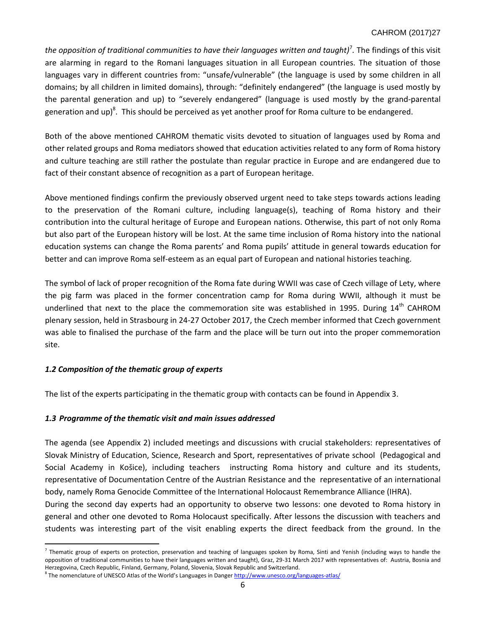## CAHROM (2017)27

*the opposition of traditional communities to have their languages written and taught)<sup>7</sup>. The findings of this visit* are alarming in regard to the Romani languages situation in all European countries. The situation of those languages vary in different countries from: "unsafe/vulnerable" (the language is used by some children in all domains; by all children in limited domains), through: "definitely endangered" (the language is used mostly by the parental generation and up) to "severely endangered" (language is used mostly by the grand-parental generation and up)<sup>8</sup>. This should be perceived as yet another proof for Roma culture to be endangered.

Both of the above mentioned CAHROM thematic visits devoted to situation of languages used by Roma and other related groups and Roma mediators showed that education activities related to any form of Roma history and culture teaching are still rather the postulate than regular practice in Europe and are endangered due to fact of their constant absence of recognition as a part of European heritage.

Above mentioned findings confirm the previously observed urgent need to take steps towards actions leading to the preservation of the Romani culture, including language(s), teaching of Roma history and their contribution into the cultural heritage of Europe and European nations. Otherwise, this part of not only Roma but also part of the European history will be lost. At the same time inclusion of Roma history into the national education systems can change the Roma parents' and Roma pupils' attitude in general towards education for better and can improve Roma self-esteem as an equal part of European and national histories teaching.

The symbol of lack of proper recognition of the Roma fate during WWII was case of Czech village of Lety, where the pig farm was placed in the former concentration camp for Roma during WWII, although it must be underlined that next to the place the commemoration site was established in 1995. During 14<sup>th</sup> CAHROM plenary session, held in Strasbourg in 24-27 October 2017, the Czech member informed that Czech government was able to finalised the purchase of the farm and the place will be turn out into the proper commemoration site.

## *1.2 Composition of the thematic group of experts*

 $\overline{\phantom{a}}$ 

The list of the experts participating in the thematic group with contacts can be found in Appendix 3.

## *1.3 Programme of the thematic visit and main issues addressed*

The agenda (see Appendix 2) included meetings and discussions with crucial stakeholders: representatives of Slovak Ministry of Education, Science, Research and Sport, representatives of private school (Pedagogical and Social Academy in Košice), including teachers instructing Roma history and culture and its students, representative of Documentation Centre of the Austrian Resistance and the representative of an international body, namely Roma Genocide Committee of the International Holocaust Remembrance Alliance (IHRA).

During the second day experts had an opportunity to observe two lessons: one devoted to Roma history in general and other one devoted to Roma Holocaust specifically. After lessons the discussion with teachers and students was interesting part of the visit enabling experts the direct feedback from the ground. In the

 $^7$  Thematic group of experts on protection, preservation and teaching of languages spoken by Roma, Sinti and Yenish (including ways to handle the opposition of traditional communities to have their languages written and taught), Graz, 29-31 March 2017 with representatives of: Austria, Bosnia and Herzegovina, Czech Republic, Finland, Germany, Poland, Slovenia, Slovak Republic and Switzerland.

<sup>&</sup>lt;sup>8</sup> The nomenclature of UNESCO Atlas of the World's Languages in Danger <http://www.unesco.org/languages-atlas/>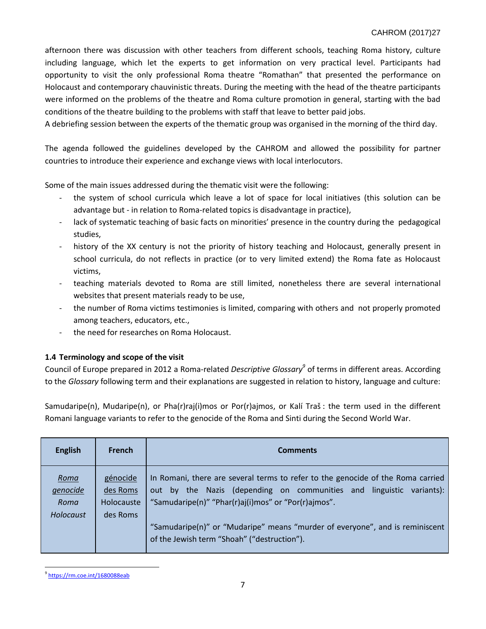afternoon there was discussion with other teachers from different schools, teaching Roma history, culture including language, which let the experts to get information on very practical level. Participants had opportunity to visit the only professional Roma theatre "Romathan" that presented the performance on Holocaust and contemporary chauvinistic threats. During the meeting with the head of the theatre participants were informed on the problems of the theatre and Roma culture promotion in general, starting with the bad conditions of the theatre building to the problems with staff that leave to better paid jobs.

A debriefing session between the experts of the thematic group was organised in the morning of the third day.

The agenda followed the guidelines developed by the CAHROM and allowed the possibility for partner countries to introduce their experience and exchange views with local interlocutors.

Some of the main issues addressed during the thematic visit were the following:

- the system of school curricula which leave a lot of space for local initiatives (this solution can be advantage but - in relation to Roma-related topics is disadvantage in practice),
- lack of systematic teaching of basic facts on minorities' presence in the country during the pedagogical studies,
- history of the XX century is not the priority of history teaching and Holocaust, generally present in school curricula, do not reflects in practice (or to very limited extend) the Roma fate as Holocaust victims,
- teaching materials devoted to Roma are still limited, nonetheless there are several international websites that present materials ready to be use,
- the number of Roma victims testimonies is limited, comparing with others and not properly promoted among teachers, educators, etc.,
- the need for researches on Roma Holocaust.

## **1.4 Terminology and scope of the visit**

Council of Europe prepared in 2012 a Roma-related *Descriptive Glossary<sup>9</sup>* of terms in different areas. According to the *Glossary* following term and their explanations are suggested in relation to history, language and culture:

Samudaripe(n), Mudaripe(n), or Pha(r)raj(i)mos or Por(r)ajmos, or Kalí Traš : the term used in the different Romani language variants to refer to the genocide of the Roma and Sinti during the Second World War.

| <b>English</b>                        | <b>French</b>                                  | <b>Comments</b>                                                                                                                                                                                                                                                                                                                                  |
|---------------------------------------|------------------------------------------------|--------------------------------------------------------------------------------------------------------------------------------------------------------------------------------------------------------------------------------------------------------------------------------------------------------------------------------------------------|
| Roma<br>genocide<br>Roma<br>Holocaust | génocide<br>des Roms<br>Holocauste<br>des Roms | In Romani, there are several terms to refer to the genocide of the Roma carried<br>out by the Nazis (depending on communities and linguistic<br>variants):<br>"Samudaripe(n)" "Phar(r)aj(i)mos" or "Por(r)ajmos".<br>"Samudaripe(n)" or "Mudaripe" means "murder of everyone", and is reminiscent<br>of the Jewish term "Shoah" ("destruction"). |

 $\overline{a}$ <sup>9</sup> <https://rm.coe.int/1680088eab>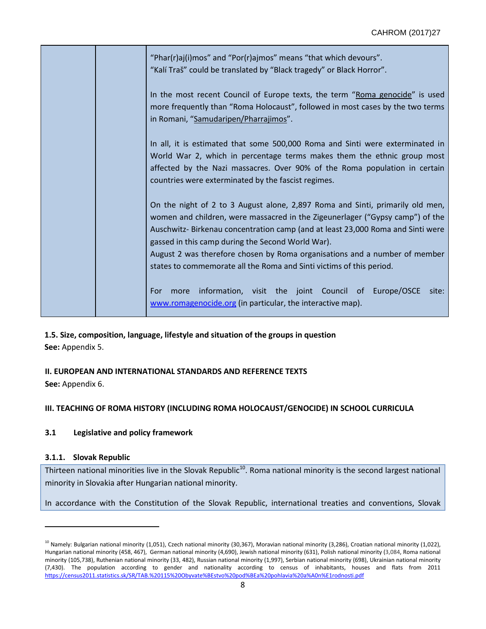|  | "Phar(r)aj(i)mos" and "Por(r)ajmos" means "that which devours".<br>"Kalí Traš" could be translated by "Black tragedy" or Black Horror".                                                                                                                                                                                                                                                                                                                     |
|--|-------------------------------------------------------------------------------------------------------------------------------------------------------------------------------------------------------------------------------------------------------------------------------------------------------------------------------------------------------------------------------------------------------------------------------------------------------------|
|  | In the most recent Council of Europe texts, the term "Roma genocide" is used<br>more frequently than "Roma Holocaust", followed in most cases by the two terms<br>in Romani, "Samudaripen/Pharrajimos".                                                                                                                                                                                                                                                     |
|  | In all, it is estimated that some 500,000 Roma and Sinti were exterminated in<br>World War 2, which in percentage terms makes them the ethnic group most<br>affected by the Nazi massacres. Over 90% of the Roma population in certain<br>countries were exterminated by the fascist regimes.                                                                                                                                                               |
|  | On the night of 2 to 3 August alone, 2,897 Roma and Sinti, primarily old men,<br>women and children, were massacred in the Zigeunerlager ("Gypsy camp") of the<br>Auschwitz-Birkenau concentration camp (and at least 23,000 Roma and Sinti were<br>gassed in this camp during the Second World War).<br>August 2 was therefore chosen by Roma organisations and a number of member<br>states to commemorate all the Roma and Sinti victims of this period. |
|  | information, visit the joint Council of Europe/OSCE<br>site:<br>For<br>more<br>www.romagenocide.org (in particular, the interactive map).                                                                                                                                                                                                                                                                                                                   |

**1.5. Size, composition, language, lifestyle and situation of the groups in question See:** Appendix 5.

# **II. EUROPEAN AND INTERNATIONAL STANDARDS AND REFERENCE TEXTS**

**See:** Appendix 6.

# **III. TEACHING OF ROMA HISTORY (INCLUDING ROMA HOLOCAUST/GENOCIDE) IN SCHOOL CURRICULA**

## **3.1 Legislative and policy framework**

## **3.1.1. Slovak Republic**

 $\overline{a}$ 

Thirteen national minorities live in the Slovak Republic<sup>10</sup>. Roma national minority is the second largest national minority in Slovakia after Hungarian national minority.

In accordance with the Constitution of the Slovak Republic, international treaties and conventions, Slovak

 $^{10}$  Namely: Bulgarian national minority (1,051), Czech national minority (30,367), Moravian national minority (3,286), Croatian national minority (1,022), Hungarian national minority (458, 467), German national minority (4,690), Jewish national minority (631), Polish national minority (3,084, Roma national minority (105,738), Ruthenian national minority (33, 482), Russian national minority (1,997), Serbian national minority (698), Ukrainian national minority (7,430). The population according to gender and nationality according to census of inhabitants, houses and flats from 2011 <https://census2011.statistics.sk/SR/TAB.%20115%20Obyvate%BEstvo%20pod%BEa%20pohlavia%20a%A0n%E1rodnosti.pdf>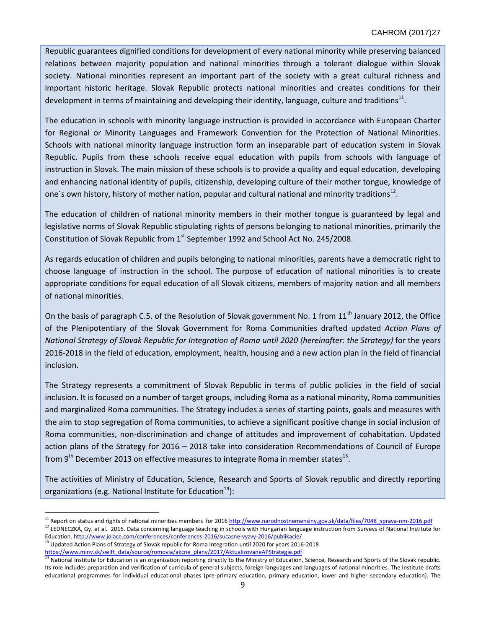Republic guarantees dignified conditions for development of every national minority while preserving balanced relations between majority population and national minorities through a tolerant dialogue within Slovak society. National minorities represent an important part of the society with a great cultural richness and important historic heritage. Slovak Republic protects national minorities and creates conditions for their development in terms of maintaining and developing their identity, language, culture and traditions<sup>11</sup>.

The education in schools with minority language instruction is provided in accordance with European Charter for Regional or Minority Languages and Framework Convention for the Protection of National Minorities. Schools with national minority language instruction form an inseparable part of education system in Slovak Republic. Pupils from these schools receive equal education with pupils from schools with language of instruction in Slovak. The main mission of these schools is to provide a quality and equal education, developing and enhancing national identity of pupils, citizenship, developing culture of their mother tongue, knowledge of one's own history, history of mother nation, popular and cultural national and minority traditions<sup>12</sup>.

The education of children of national minority members in their mother tongue is guaranteed by legal and legislative norms of Slovak Republic stipulating rights of persons belonging to national minorities, primarily the Constitution of Slovak Republic from  $1<sup>st</sup>$  September 1992 and School Act No. 245/2008.

As regards education of children and pupils belonging to national minorities, parents have a democratic right to choose language of instruction in the school. The purpose of education of national minorities is to create appropriate conditions for equal education of all Slovak citizens, members of majority nation and all members of national minorities.

On the basis of paragraph C.5. of the Resolution of Slovak government No. 1 from  $11<sup>th</sup>$  January 2012, the Office of the Plenipotentiary of the Slovak Government for Roma Communities drafted updated *Action Plans of National Strategy of Slovak Republic for Integration of Roma until 2020 (hereinafter: the Strategy)* for the years 2016-2018 in the field of education, employment, health, housing and a new action plan in the field of financial inclusion.

The Strategy represents a commitment of Slovak Republic in terms of public policies in the field of social inclusion. It is focused on a number of target groups, including Roma as a national minority, Roma communities and marginalized Roma communities. The Strategy includes a series of starting points, goals and measures with the aim to stop segregation of Roma communities, to achieve a significant positive change in social inclusion of Roma communities, non-discrimination and change of attitudes and improvement of cohabitation. Updated action plans of the Strategy for 2016 – 2018 take into consideration Recommendations of Council of Europe from 9<sup>th</sup> December 2013 on effective measures to integrate Roma in member states<sup>13</sup>.

The activities of Ministry of Education, Science, Research and Sports of Slovak republic and directly reporting organizations (e.g. National Institute for Education<sup>14</sup>):

Education[. http://www.jolace.com/conferences/conferences-2016/sucasne-vyzvy-2016/publikacie/](http://www.jolace.com/conferences/conferences-2016/sucasne-vyzvy-2016/publikacie/)

 $\overline{\phantom{a}}$ 

<sup>&</sup>lt;sup>11</sup> Report on status and rights of national minorities members for 2016 [http://www.narodnostnemensiny.gov.sk/data/files/7048\\_sprava-nm-2016.pdf](http://www.narodnostnemensiny.gov.sk/data/files/7048_sprava-nm-2016.pdf) <sup>12</sup> LEDNECZKÁ, Gy. et al. 2016. Data concerning language teaching in schools with Hungarian language instruction from Surveys of National Institute for

<sup>&</sup>lt;sup>13</sup> Updated Action Plans of Strategy of Slovak republic for Roma Integration until 2020 for years 2016-2018 [https://www.minv.sk/swift\\_data/source/romovia/akcne\\_plany/2017/AktualizovaneAPStrategie.pdf](https://www.minv.sk/swift_data/source/romovia/akcne_plany/2017/AktualizovaneAPStrategie.pdf)<br><sup>14</sup> National Institute for Friends

National Institute for Education is an organization reporting directly to the Ministry of Education, Science, Research and Sports of the Slovak republic. Its role includes preparation and verification of curricula of general subjects, foreign languages and languages of national minorities. The Institute drafts educational programmes for individual educational phases (pre-primary education, primary education, lower and higher secondary education). The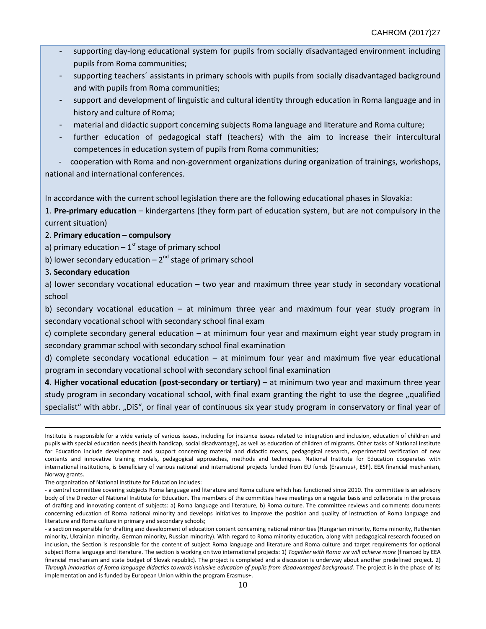- supporting day-long educational system for pupils from socially disadvantaged environment including pupils from Roma communities;
- supporting teachers' assistants in primary schools with pupils from socially disadvantaged background and with pupils from Roma communities;
- support and development of linguistic and cultural identity through education in Roma language and in history and culture of Roma;
- material and didactic support concerning subjects Roma language and literature and Roma culture;
- further education of pedagogical staff (teachers) with the aim to increase their intercultural competences in education system of pupils from Roma communities;

cooperation with Roma and non-government organizations during organization of trainings, workshops, national and international conferences.

In accordance with the current school legislation there are the following educational phases in Slovakia:

1. **Pre-primary education** – kindergartens (they form part of education system, but are not compulsory in the current situation)

## 2. **Primary education – compulsory**

a) primary education  $-1<sup>st</sup>$  stage of primary school

b) lower secondary education  $-2^{nd}$  stage of primary school

## 3**. Secondary education**

 $\overline{\phantom{a}}$ 

a) lower secondary vocational education – two year and maximum three year study in secondary vocational school

b) secondary vocational education – at minimum three year and maximum four year study program in secondary vocational school with secondary school final exam

c) complete secondary general education – at minimum four year and maximum eight year study program in secondary grammar school with secondary school final examination

d) complete secondary vocational education – at minimum four year and maximum five year educational program in secondary vocational school with secondary school final examination

**4. Higher vocational education (post-secondary or tertiary)** – at minimum two year and maximum three year study program in secondary vocational school, with final exam granting the right to use the degree "qualified specialist" with abbr. "DiS", or final year of continuous six year study program in conservatory or final year of

The organization of National Institute for Education includes:

Institute is responsible for a wide variety of various issues, including for instance issues related to integration and inclusion, education of children and pupils with special education needs (health handicap, social disadvantage), as well as education of children of migrants. Other tasks of National Institute for Education include development and support concerning material and didactic means, pedagogical research, experimental verification of new contents and innovative training models, pedagogical approaches, methods and techniques. National Institute for Education cooperates with international institutions, is beneficiary of various national and international projects funded from EU funds (Erasmus+, ESF), EEA financial mechanism, Norway grants.

<sup>-</sup> a central committee covering subjects Roma language and literature and Roma culture which has functioned since 2010. The committee is an advisory body of the Director of National Institute for Education. The members of the committee have meetings on a regular basis and collaborate in the process of drafting and innovating content of subjects: a) Roma language and literature, b) Roma culture. The committee reviews and comments documents concerning education of Roma national minority and develops initiatives to improve the position and quality of instruction of Roma language and literature and Roma culture in primary and secondary schools;

<sup>-</sup> a section responsible for drafting and development of education content concerning national minorities (Hungarian minority, Roma minority, Ruthenian minority, Ukrainian minority, German minority, Russian minority). With regard to Roma minority education, along with pedagogical research focused on inclusion, the Section is responsible for the content of subject Roma language and literature and Roma culture and target requirements for optional subject Roma language and literature. The section is working on two international projects: 1) *Together with Roma we will achieve more* (financed by EEA financial mechanism and state budget of Slovak republic). The project is completed and a discussion is underway about another predefined project. 2) *Through innovation of Roma language didactics towards inclusive education of pupils from disadvantaged background*. The project is in the phase of its implementation and is funded by European Union within the program Erasmus+.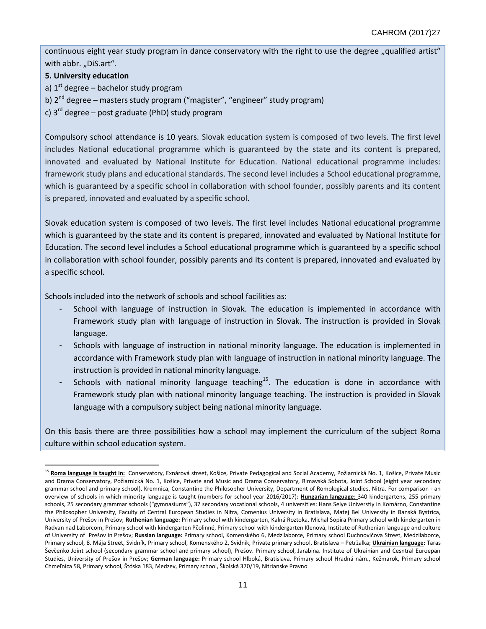continuous eight year study program in dance conservatory with the right to use the degree "qualified artist" with abbr. "DiS.art".

## **5. University education**

 $\overline{\phantom{a}}$ 

- a)  $1<sup>st</sup>$  degree bachelor study program
- b)  $2^{nd}$  degree masters study program ("magister", "engineer" study program)
- c)  $3<sup>rd</sup>$  degree post graduate (PhD) study program

Compulsory school attendance is 10 years. Slovak education system is composed of two levels. The first level includes National educational programme which is guaranteed by the state and its content is prepared, innovated and evaluated by National Institute for Education. National educational programme includes: framework study plans and educational standards. The second level includes a School educational programme, which is guaranteed by a specific school in collaboration with school founder, possibly parents and its content is prepared, innovated and evaluated by a specific school.

Slovak education system is composed of two levels. The first level includes National educational programme which is guaranteed by the state and its content is prepared, innovated and evaluated by National Institute for Education. The second level includes a School educational programme which is guaranteed by a specific school in collaboration with school founder, possibly parents and its content is prepared, innovated and evaluated by a specific school.

Schools included into the network of schools and school facilities as:

- School with language of instruction in Slovak. The education is implemented in accordance with Framework study plan with language of instruction in Slovak. The instruction is provided in Slovak language.
- Schools with language of instruction in national minority language. The education is implemented in accordance with Framework study plan with language of instruction in national minority language. The instruction is provided in national minority language.
- Schools with national minority language teaching<sup>15</sup>. The education is done in accordance with Framework study plan with national minority language teaching. The instruction is provided in Slovak language with a compulsory subject being national minority language.

On this basis there are three possibilities how a school may implement the curriculum of the subject Roma culture within school education system.

<sup>&</sup>lt;sup>15</sup> Roma language is taught in: Conservatory, Exnárová street, Košice, Private Pedagogical and Social Academy, Požiarnická No. 1, Košice, Private Music and Drama Conservatory, Požiarnická No. 1, Košice, Private and Music and Drama Conservatory, Rimavská Sobota, Joint School (eight year secondary grammar school and primary school), Kremnica, Constantine the Philosopher University, Department of Romological studies, Nitra. For comparison - an overview of schools in which minority language is taught (numbers for school year 2016/2017): **Hungarian language**: 340 kindergartens, 255 primary schools, 25 secondary grammar schools ("gymnasiums"), 37 secondary vocational schools, 4 universities: Hans Selye Universtiy in Komárno, Constantine the Philosopher University, Faculty of Central European Studies in Nitra, Comenius University in Bratislava, Matej Bel University in Banská Bystrica, University of Prešov in Prešov; **Ruthenian language:** Primary school with kindergarten, Kalná Roztoka, Michal Sopira Primary school with kindergarten in Radvan nad Laborcom, Primary school with kindergarten Pčolinné, Primary school with kindergarten Klenová, Institute of Ruthenian language and culture of University of Prešov in Prešov; **Russian language:** Primary school, Komenského 6, Medzilaborce, Primary school Duchnovičova Street, Medzilaborce, Primary school, 8. Mája Street, Svidník, Primary school, Komenského 2, Svidník, Private primary school, Bratislava – Petržalka; **Ukrainian language:** Taras Ševčenko Joint school (secondary grammar school and primary school), Prešov. Primary school, Jarabina. Institute of Ukrainian and Cesntral Euroepan Studies, University of Prešov in Prešov; **German language:** Primary school Hlboká, Bratislava, Primary school Hradná nám., Kežmarok, Primary school Chmeľnica 58, Primary school, Štóska 183, Medzev, Primary school, Školská 370/19, Nitrianske Pravno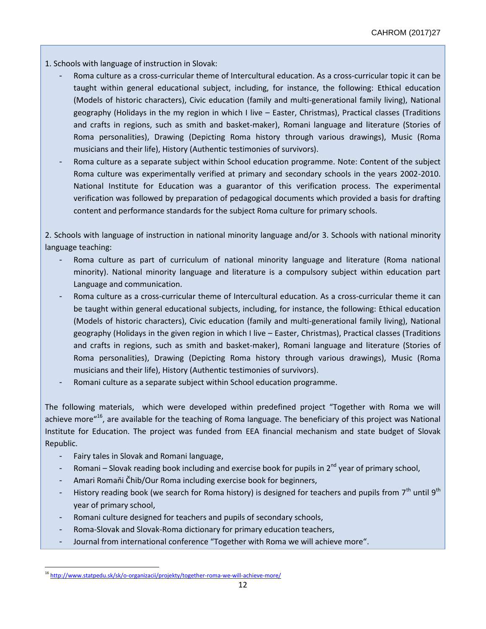1. Schools with language of instruction in Slovak:

- Roma culture as a cross-curricular theme of Intercultural education. As a cross-curricular topic it can be taught within general educational subject, including, for instance, the following: Ethical education (Models of historic characters), Civic education (family and multi-generational family living), National geography (Holidays in the my region in which I live – Easter, Christmas), Practical classes (Traditions and crafts in regions, such as smith and basket-maker), Romani language and literature (Stories of Roma personalities), Drawing (Depicting Roma history through various drawings), Music (Roma musicians and their life), History (Authentic testimonies of survivors).
- Roma culture as a separate subject within School education programme. Note: Content of the subject Roma culture was experimentally verified at primary and secondary schools in the years 2002-2010. National Institute for Education was a guarantor of this verification process. The experimental verification was followed by preparation of pedagogical documents which provided a basis for drafting content and performance standards for the subject Roma culture for primary schools.

2. Schools with language of instruction in national minority language and/or 3. Schools with national minority language teaching:

- Roma culture as part of curriculum of national minority language and literature (Roma national minority). National minority language and literature is a compulsory subject within education part Language and communication.
- Roma culture as a cross-curricular theme of Intercultural education. As a cross-curricular theme it can be taught within general educational subjects, including, for instance, the following: Ethical education (Models of historic characters), Civic education (family and multi-generational family living), National geography (Holidays in the given region in which I live – Easter, Christmas), Practical classes (Traditions and crafts in regions, such as smith and basket-maker), Romani language and literature (Stories of Roma personalities), Drawing (Depicting Roma history through various drawings), Music (Roma musicians and their life), History (Authentic testimonies of survivors).
- Romani culture as a separate subject within School education programme.

The following materials, which were developed within predefined project "Together with Roma we will achieve more"<sup>16</sup>, are available for the teaching of Roma language. The beneficiary of this project was National Institute for Education. The project was funded from EEA financial mechanism and state budget of Slovak Republic.

- Fairy tales in Slovak and Romani language,
- Romani Slovak reading book including and exercise book for pupils in  $2^{nd}$  year of primary school,
- Amari Romaňi Čhib/Our Roma including exercise book for beginners,
- History reading book (we search for Roma history) is designed for teachers and pupils from  $7<sup>th</sup>$  until  $9<sup>th</sup>$ year of primary school,
- Romani culture designed for teachers and pupils of secondary schools,
- Roma-Slovak and Slovak-Roma dictionary for primary education teachers,
- Journal from international conference "Together with Roma we will achieve more".

 $\overline{a}$ <sup>16</sup> <http://www.statpedu.sk/sk/o-organizacii/projekty/together-roma-we-will-achieve-more/>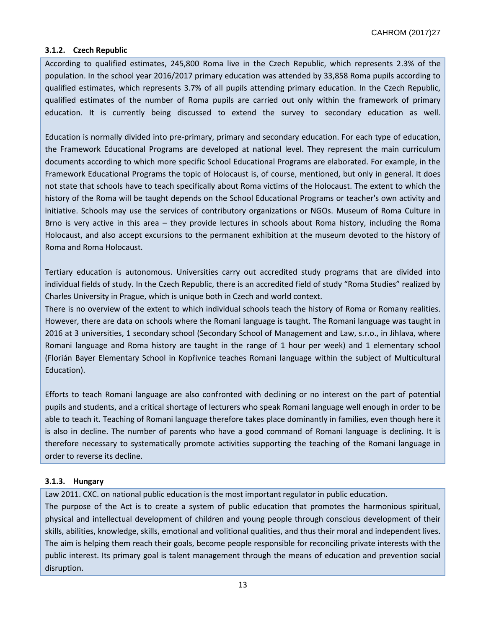## **3.1.2. Czech Republic**

According to qualified estimates, 245,800 Roma live in the Czech Republic, which represents 2.3% of the population. In the school year 2016/2017 primary education was attended by 33,858 Roma pupils according to qualified estimates, which represents 3.7% of all pupils attending primary education. In the Czech Republic, qualified estimates of the number of Roma pupils are carried out only within the framework of primary education. It is currently being discussed to extend the survey to secondary education as well.

Education is normally divided into pre-primary, primary and secondary education. For each type of education, the Framework Educational Programs are developed at national level. They represent the main curriculum documents according to which more specific School Educational Programs are elaborated. For example, in the Framework Educational Programs the topic of Holocaust is, of course, mentioned, but only in general. It does not state that schools have to teach specifically about Roma victims of the Holocaust. The extent to which the history of the Roma will be taught depends on the School Educational Programs or teacher's own activity and initiative. Schools may use the services of contributory organizations or NGOs. Museum of Roma Culture in Brno is very active in this area – they provide lectures in schools about Roma history, including the Roma Holocaust, and also accept excursions to the permanent exhibition at the museum devoted to the history of Roma and Roma Holocaust.

Tertiary education is autonomous. Universities carry out accredited study programs that are divided into individual fields of study. In the Czech Republic, there is an accredited field of study "Roma Studies" realized by Charles University in Prague, which is unique both in Czech and world context.

There is no overview of the extent to which individual schools teach the history of Roma or Romany realities. However, there are data on schools where the Romani language is taught. The Romani language was taught in 2016 at 3 universities, 1 secondary school (Secondary School of Management and Law, s.r.o., in Jihlava, where Romani language and Roma history are taught in the range of 1 hour per week) and 1 elementary school (Florián Bayer Elementary School in Kopřivnice teaches Romani language within the subject of Multicultural Education).

Efforts to teach Romani language are also confronted with declining or no interest on the part of potential pupils and students, and a critical shortage of lecturers who speak Romani language well enough in order to be able to teach it. Teaching of Romani language therefore takes place dominantly in families, even though here it is also in decline. The number of parents who have a good command of Romani language is declining. It is therefore necessary to systematically promote activities supporting the teaching of the Romani language in order to reverse its decline.

#### **3.1.3. Hungary**

Law 2011. CXC. on national public education is the most important regulator in public education.

The purpose of the Act is to create a system of public education that promotes the harmonious spiritual, physical and intellectual development of children and young people through conscious development of their skills, abilities, knowledge, skills, emotional and volitional qualities, and thus their moral and independent lives. The aim is helping them reach their goals, become people responsible for reconciling private interests with the public interest. Its primary goal is talent management through the means of education and prevention social disruption.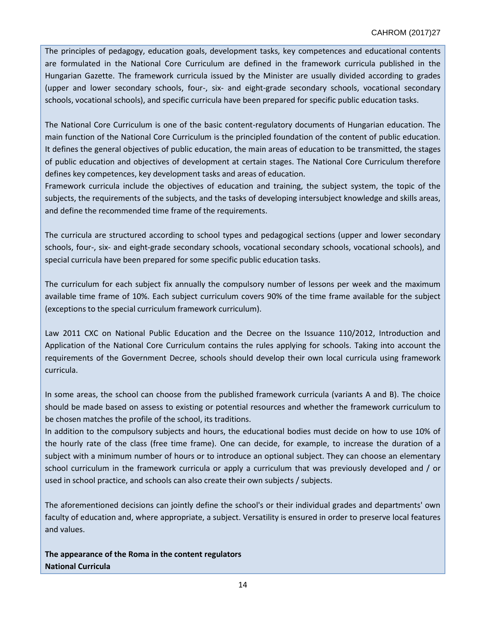The principles of pedagogy, education goals, development tasks, key competences and educational contents are formulated in the National Core Curriculum are defined in the framework curricula published in the Hungarian Gazette. The framework curricula issued by the Minister are usually divided according to grades (upper and lower secondary schools, four-, six- and eight-grade secondary schools, vocational secondary schools, vocational schools), and specific curricula have been prepared for specific public education tasks.

The National Core Curriculum is one of the basic content-regulatory documents of Hungarian education. The main function of the National Core Curriculum is the principled foundation of the content of public education. It defines the general objectives of public education, the main areas of education to be transmitted, the stages of public education and objectives of development at certain stages. The National Core Curriculum therefore defines key competences, key development tasks and areas of education.

Framework curricula include the objectives of education and training, the subject system, the topic of the subjects, the requirements of the subjects, and the tasks of developing intersubject knowledge and skills areas, and define the recommended time frame of the requirements.

The curricula are structured according to school types and pedagogical sections (upper and lower secondary schools, four-, six- and eight-grade secondary schools, vocational secondary schools, vocational schools), and special curricula have been prepared for some specific public education tasks.

The curriculum for each subject fix annually the compulsory number of lessons per week and the maximum available time frame of 10%. Each subject curriculum covers 90% of the time frame available for the subject (exceptions to the special curriculum framework curriculum).

Law 2011 CXC on National Public Education and the Decree on the Issuance 110/2012, Introduction and Application of the National Core Curriculum contains the rules applying for schools. Taking into account the requirements of the Government Decree, schools should develop their own local curricula using framework curricula.

In some areas, the school can choose from the published framework curricula (variants A and B). The choice should be made based on assess to existing or potential resources and whether the framework curriculum to be chosen matches the profile of the school, its traditions.

In addition to the compulsory subjects and hours, the educational bodies must decide on how to use 10% of the hourly rate of the class (free time frame). One can decide, for example, to increase the duration of a subject with a minimum number of hours or to introduce an optional subject. They can choose an elementary school curriculum in the framework curricula or apply a curriculum that was previously developed and / or used in school practice, and schools can also create their own subjects / subjects.

The aforementioned decisions can jointly define the school's or their individual grades and departments' own faculty of education and, where appropriate, a subject. Versatility is ensured in order to preserve local features and values.

**The appearance of the Roma in the content regulators National Curricula**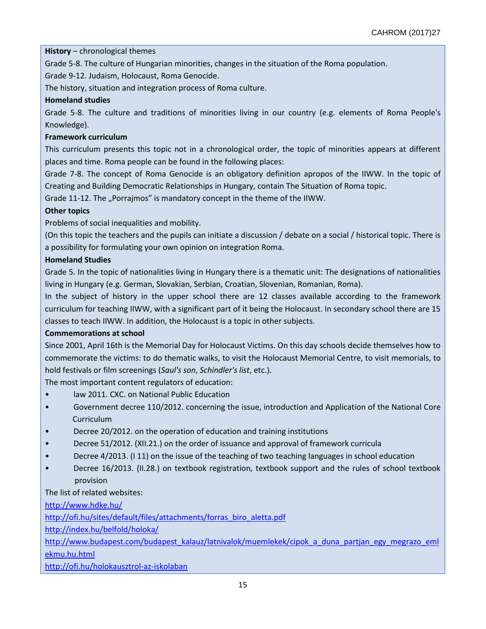**History** – chronological themes

Grade 5-8. The culture of Hungarian minorities, changes in the situation of the Roma population.

Grade 9-12. Judaism, Holocaust, Roma Genocide.

The history, situation and integration process of Roma culture.

## **Homeland studies**

Grade 5-8. The culture and traditions of minorities living in our country (e.g. elements of Roma People's Knowledge).

## **Framework curriculum**

This curriculum presents this topic not in a chronological order, the topic of minorities appears at different places and time. Roma people can be found in the following places:

Grade 7-8. The concept of Roma Genocide is an obligatory definition apropos of the IIWW. In the topic of Creating and Building Democratic Relationships in Hungary, contain The Situation of Roma topic.

Grade 11-12. The "Porrajmos" is mandatory concept in the theme of the IIWW.

## **Other topics**

Problems of social inequalities and mobility.

(On this topic the teachers and the pupils can initiate a discussion / debate on a social / historical topic. There is a possibility for formulating your own opinion on integration Roma.

## **Homeland Studies**

Grade 5. In the topic of nationalities living in Hungary there is a thematic unit: The designations of nationalities living in Hungary (e.g. German, Slovakian, Serbian, Croatian, Slovenian, Romanian, Roma).

In the subject of history in the upper school there are 12 classes available according to the framework curriculum for teaching IIWW, with a significant part of it being the Holocaust. In secondary school there are 15 classes to teach IIWW. In addition, the Holocaust is a topic in other subjects.

## **Commemorations at school**

Since 2001, April 16th is the Memorial Day for Holocaust Victims. On this day schools decide themselves how to commemorate the victims: to do thematic walks, to visit the Holocaust Memorial Centre, to visit memorials, to hold festivals or film screenings (*Saul's son*, *Schindler's list*, etc.).

The most important content regulators of education:

- law 2011. CXC. on National Public Education
- Government decree 110/2012. concerning the issue, introduction and Application of the National Core Curriculum
- Decree 20/2012. on the operation of education and training institutions
- Decree 51/2012. (XII.21.) on the order of issuance and approval of framework curricula
- Decree 4/2013. (I 11) on the issue of the teaching of two teaching languages in school education
- Decree 16/2013. (II.28.) on textbook registration, textbook support and the rules of school textbook provision

## The list of related websites:

<http://www.hdke.hu/>

[http://ofi.hu/sites/default/files/attachments/forras\\_biro\\_aletta.pdf](http://ofi.hu/sites/default/files/attachments/forras_biro_aletta.pdf)

<http://index.hu/belfold/holoka/>

[http://www.budapest.com/budapest\\_kalauz/latnivalok/muemlekek/cipok\\_a\\_duna\\_partjan\\_egy\\_megrazo\\_eml](http://www.budapest.com/budapest_kalauz/latnivalok/muemlekek/cipok_a_duna_partjan_egy_megrazo_emlekmu.hu.html)

[ekmu.hu.html](http://www.budapest.com/budapest_kalauz/latnivalok/muemlekek/cipok_a_duna_partjan_egy_megrazo_emlekmu.hu.html)

<http://ofi.hu/holokausztrol-az-iskolaban>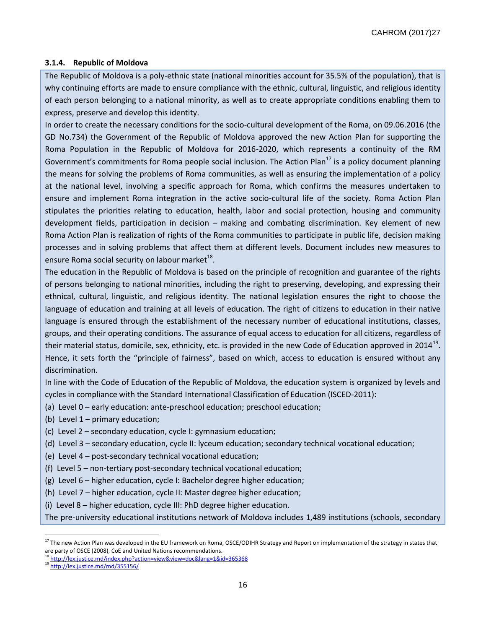## **3.1.4. Republic of Moldova**

The Republic of Moldova is a poly-ethnic state (national minorities account for 35.5% of the population), that is why continuing efforts are made to ensure compliance with the ethnic, cultural, linguistic, and religious identity of each person belonging to a national minority, as well as to create appropriate conditions enabling them to express, preserve and develop this identity.

In order to create the necessary conditions for the socio-cultural development of the Roma, on 09.06.2016 (the GD No.734) the Government of the Republic of Moldova approved the new Action Plan for supporting the Roma Population in the Republic of Moldova for 2016-2020, which represents a continuity of the RM Government's commitments for Roma people social inclusion. The Action Plan<sup>17</sup> is a policy document planning the means for solving the problems of Roma communities, as well as ensuring the implementation of a policy at the national level, involving a specific approach for Roma, which confirms the measures undertaken to ensure and implement Roma integration in the active socio-cultural life of the society. Roma Action Plan stipulates the priorities relating to education, health, labor and social protection, housing and community development fields, participation in decision – making and combating discrimination. Key element of new Roma Action Plan is realization of rights of the Roma communities to participate in public life, decision making processes and in solving problems that affect them at different levels. Document includes new measures to ensure Roma social security on labour market $^{18}$ .

The education in the Republic of Moldova is based on the principle of recognition and guarantee of the rights of persons belonging to national minorities, including the right to preserving, developing, and expressing their ethnical, cultural, linguistic, and religious identity. The national legislation ensures the right to choose the language of education and training at all levels of education. The right of citizens to education in their native language is ensured through the establishment of the necessary number of educational institutions, classes, groups, and their operating conditions. The assurance of equal access to education for all citizens, regardless of their material status, domicile, sex, ethnicity, etc. is provided in the new Code of Education approved in 2014 $^{19}$ . Hence, it sets forth the "principle of fairness", based on which, access to education is ensured without any discrimination.

In line with the Code of Education of the Republic of Moldova, the education system is organized by levels and cycles in compliance with the Standard International Classification of Education (ISCED-2011):

- (a) Level 0 early education: ante-preschool education; preschool education;
- (b) Level 1 primary education;
- (c) Level 2 secondary education, cycle I: gymnasium education;
- (d) Level 3 secondary education, cycle II: lyceum education; secondary technical vocational education;
- (e) Level 4 post-secondary technical vocational education;
- (f) Level 5 non-tertiary post-secondary technical vocational education;
- (g) Level 6 higher education, cycle I: Bachelor degree higher education;
- (h) Level 7 higher education, cycle II: Master degree higher education;
- (i) Level 8 higher education, cycle III: PhD degree higher education.

 $\overline{a}$ 

The pre-university educational institutions network of Moldova includes 1,489 institutions (schools, secondary

<sup>&</sup>lt;sup>17</sup> The new Action Plan was developed in the EU framework on Roma, OSCE/ODIHR Strategy and Report on implementation of the strategy in states that are party of OSCE (2008), CoE and United Nations recommendations.

<sup>&</sup>lt;sup>18</sup> <http://lex.justice.md/index.php?action=view&view=doc&lang=1&id=365368>

<sup>19</sup> <http://lex.justice.md/md/355156/>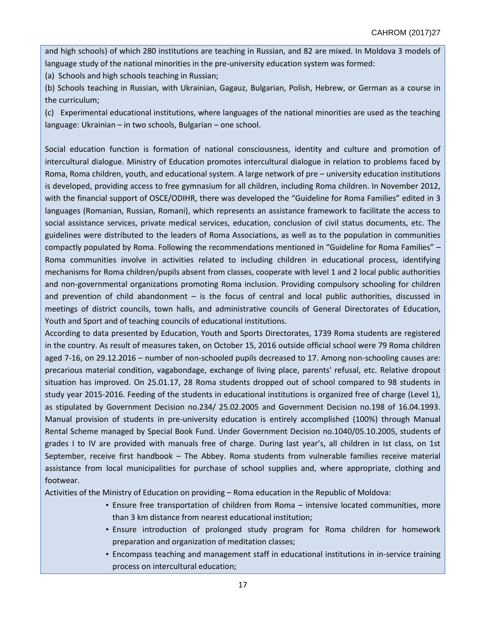and high schools) of which 280 institutions are teaching in Russian, and 82 are mixed. In Moldova 3 models of language study of the national minorities in the pre-university education system was formed:

(a) Schools and high schools teaching in Russian;

(b) Schools teaching in Russian, with Ukrainian, Gagauz, Bulgarian, Polish, Hebrew, or German as a course in the curriculum;

(c) Experimental educational institutions, where languages of the national minorities are used as the teaching language: Ukrainian – in two schools, Bulgarian – one school.

Social education function is formation of national consciousness, identity and culture and promotion of intercultural dialogue. Ministry of Education promotes intercultural dialogue in relation to problems faced by Roma, Roma children, youth, and educational system. A large network of pre – university education institutions is developed, providing access to free gymnasium for all children, including Roma children. In November 2012, with the financial support of OSCE/ODIHR, there was developed the "Guideline for Roma Families" edited in 3 languages (Romanian, Russian, Romani), which represents an assistance framework to facilitate the access to social assistance services, private medical services, education, conclusion of civil status documents, etc. The guidelines were distributed to the leaders of Roma Associations, as well as to the population in communities compactly populated by Roma. Following the recommendations mentioned in "Guideline for Roma Families" – Roma communities involve in activities related to including children in educational process, identifying mechanisms for Roma children/pupils absent from classes, cooperate with level 1 and 2 local public authorities and non-governmental organizations promoting Roma inclusion. Providing compulsory schooling for children and prevention of child abandonment  $-$  is the focus of central and local public authorities, discussed in meetings of district councils, town halls, and administrative councils of General Directorates of Education, Youth and Sport and of teaching councils of educational institutions.

According to data presented by Education, Youth and Sports Directorates, 1739 Roma students are registered in the country. As result of measures taken, on October 15, 2016 outside official school were 79 Roma children aged 7-16, on 29.12.2016 – number of non-schooled pupils decreased to 17. Among non-schooling causes are: precarious material condition, vagabondage, exchange of living place, parents' refusal, etc. Relative dropout situation has improved. On 25.01.17, 28 Roma students dropped out of school compared to 98 students in study year 2015-2016. Feeding of the students in educational institutions is organized free of charge (Level 1), as stipulated by Government Decision no.234/ 25.02.2005 and Government Decision no.198 of 16.04.1993. Manual provision of students in pre-university education is entirely accomplished (100%) through Manual Rental Scheme managed by Special Book Fund. Under Government Decision no.1040/05.10.2005, students of grades I to IV are provided with manuals free of charge. During last year's, all children in Ist class, on 1st September, receive first handbook – The Abbey. Roma students from vulnerable families receive material assistance from local municipalities for purchase of school supplies and, where appropriate, clothing and footwear.

Activities of the Ministry of Education on providing – Roma education in the Republic of Moldova:

- Ensure free transportation of children from Roma intensive located communities, more than 3 km distance from nearest educational institution;
- Ensure introduction of prolonged study program for Roma children for homework preparation and organization of meditation classes;
- Encompass teaching and management staff in educational institutions in in-service training process on intercultural education;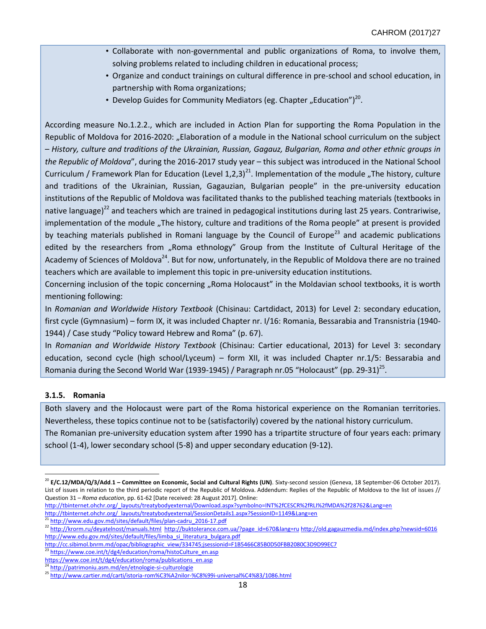- Collaborate with non-governmental and public organizations of Roma, to involve them, solving problems related to including children in educational process;
- Organize and conduct trainings on cultural difference in pre-school and school education, in partnership with Roma organizations;
- Develop Guides for Community Mediators (eg. Chapter "Education")<sup>20</sup>.

According measure No.1.2.2., which are included in Action Plan for supporting the Roma Population in the Republic of Moldova for 2016-2020: "Elaboration of a module in the National school curriculum on the subject – *History, culture and traditions of the Ukrainian, Russian, Gagauz, Bulgarian, Roma and other ethnic groups in the Republic of Moldova*", during the 2016-2017 study year – this subject was introduced in the National School Curriculum / Framework Plan for Education (Level 1,2,3)<sup>21</sup>. Implementation of the module "The history, culture and traditions of the Ukrainian, Russian, Gagauzian, Bulgarian people" in the pre-university education institutions of the Republic of Moldova was facilitated thanks to the published teaching materials (textbooks in native language)<sup>22</sup> and teachers which are trained in pedagogical institutions during last 25 years. Contrariwise, implementation of the module "The history, culture and traditions of the Roma people" at present is provided by teaching materials published in Romani language by the Council of Europe<sup>23</sup> and academic publications edited by the researchers from "Roma ethnology" Group from the Institute of Cultural Heritage of the Academy of Sciences of Moldova<sup>24</sup>. But for now, unfortunately, in the Republic of Moldova there are no trained teachers which are available to implement this topic in pre-university education institutions.

Concerning inclusion of the topic concerning "Roma Holocaust" in the Moldavian school textbooks, it is worth mentioning following:

In *Romanian and Worldwide History Textbook* (Chisinau: Cartdidact, 2013) for Level 2: secondary education, first cycle (Gymnasium) – form IX, it was included Chapter nr. I/16: Romania, Bessarabia and Transnistria (1940- 1944) / Case study "Policy toward Hebrew and Roma" (p. 67).

In *Romanian and Worldwide History Textbook* (Chisinau: Cartier educational, 2013) for Level 3: secondary education, second cycle (high school/Lyceum) – form XII, it was included Chapter nr.1/5: Bessarabia and Romania during the Second World War (1939-1945) / Paragraph nr.05 "Holocaust" (pp. 29-31)<sup>25</sup>.

## **3.1.5. Romania**

Both slavery and the Holocaust were part of the Roma historical experience on the Romanian territories. Nevertheless, these topics continue not to be (satisfactorily) covered by the national history curriculum. The Romanian pre-university education system after 1990 has a tripartite structure of four years each: primary school (1-4), lower secondary school (5-8) and upper secondary education (9-12).

[http://tbinternet.ohchr.org/\\_layouts/treatybodyexternal/Download.aspx?symbolno=INT%2fCESCR%2fRLI%2fMDA%2f28762&Lang=en](http://tbinternet.ohchr.org/_layouts/treatybodyexternal/Download.aspx?symbolno=INT%2fCESCR%2fRLI%2fMDA%2f28762&Lang=en) [http://tbinternet.ohchr.org/\\_layouts/treatybodyexternal/SessionDetails1.aspx?SessionID=1149&Lang=en](http://tbinternet.ohchr.org/_layouts/treatybodyexternal/SessionDetails1.aspx?SessionID=1149&Lang=en) 

[http://www.edu.gov.md/sites/default/files/plan-cadru\\_2016-17.pdf](http://www.edu.gov.md/sites/default/files/plan-cadru_2016-17.pdf)

 $\overline{\phantom{a}}$ <sup>20</sup> **E/C.12/MDA/Q/3/Add**.**1 – Committee on Economic, Social and Cultural Rights (UN)**. Sixty-second session (Geneva, 18 September-06 October 2017). List of issues in relation to the third periodic report of the Republic of Moldova. Addendum: Replies of the Republic of Moldova to the list of issues // Question 31 – *Roma education*, pp. 61-62 [Date received: 28 August 2017]. Online:

<sup>22</sup> <http://krorm.ru/deyatelnost/manuals.html>[http://buktolerance.com.ua/?page\\_id=670&lang=ru](http://buktolerance.com.ua/?page_id=670&lang=ru) <http://old.gagauzmedia.md/index.php?newsid=6016> [http://www.edu.gov.md/sites/default/files/limba\\_si\\_literatura\\_bulgara.pdf](http://www.edu.gov.md/sites/default/files/limba_si_literatura_bulgara.pdf)

[http://cc.sibimol.bnrm.md/opac/bibliographic\\_view/334745;jsessionid=F1B5466C85B0D50FBB2080C3D9D99EC7](http://cc.sibimol.bnrm.md/opac/bibliographic_view/334745;jsessionid=F1B5466C85B0D50FBB2080C3D9D99EC7)<br>23 https://www.astronometric.com/sec/bibliographic\_view/334745;jsessionid=F1B5466C85B0D50FBB2080C3D9D99EC7

[https://www.coe.int/t/dg4/education/roma/histoCulture\\_en.asp](https://www.coe.int/t/dg4/education/roma/histoCulture_en.asp)

[https://www.coe.int/t/dg4/education/roma/publications\\_en.asp](https://www.coe.int/t/dg4/education/roma/publications_en.asp)

<http://patrimoniu.asm.md/en/etnologie-si-culturologie>

<sup>25</sup> <http://www.cartier.md/carti/istoria-rom%C3%A2nilor-%C8%99i-universal%C4%83/1086.html>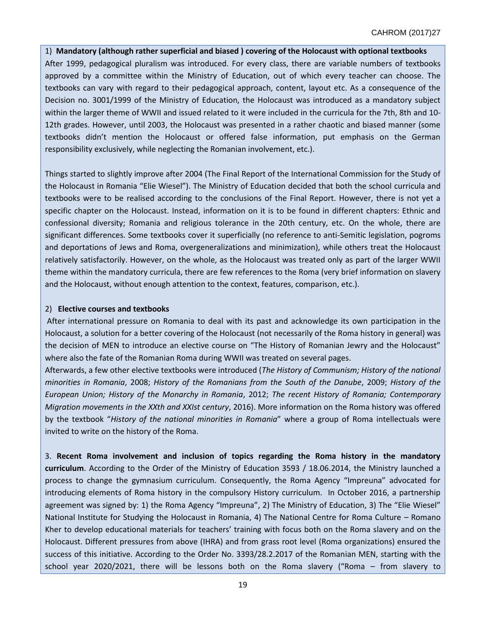## 1) **Mandatory (although rather superficial and biased ) covering of the Holocaust with optional textbooks**

After 1999, pedagogical pluralism was introduced. For every class, there are variable numbers of textbooks approved by a committee within the Ministry of Education, out of which every teacher can choose. The textbooks can vary with regard to their pedagogical approach, content, layout etc. As a consequence of the Decision no. 3001/1999 of the Ministry of Education, the Holocaust was introduced as a mandatory subject within the larger theme of WWII and issued related to it were included in the curricula for the 7th, 8th and 10- 12th grades. However, until 2003, the Holocaust was presented in a rather chaotic and biased manner (some textbooks didn't mention the Holocaust or offered false information, put emphasis on the German responsibility exclusively, while neglecting the Romanian involvement, etc.).

Things started to slightly improve after 2004 (The Final Report of the International Commission for the Study of the Holocaust in Romania "Elie Wiesel"). The Ministry of Education decided that both the school curricula and textbooks were to be realised according to the conclusions of the Final Report. However, there is not yet a specific chapter on the Holocaust. Instead, information on it is to be found in different chapters: Ethnic and confessional diversity; Romania and religious tolerance in the 20th century, etc. On the whole, there are significant differences. Some textbooks cover it superficially (no reference to anti-Semitic legislation, pogroms and deportations of Jews and Roma, overgeneralizations and minimization), while others treat the Holocaust relatively satisfactorily. However, on the whole, as the Holocaust was treated only as part of the larger WWII theme within the mandatory curricula, there are few references to the Roma (very brief information on slavery and the Holocaust, without enough attention to the context, features, comparison, etc.).

#### 2) **Elective courses and textbooks**

After international pressure on Romania to deal with its past and acknowledge its own participation in the Holocaust, a solution for a better covering of the Holocaust (not necessarily of the Roma history in general) was the decision of MEN to introduce an elective course on "The History of Romanian Jewry and the Holocaust" where also the fate of the Romanian Roma during WWII was treated on several pages.

Afterwards, a few other elective textbooks were introduced (*The History of Communism; History of the national minorities in Romania*, 2008; *History of the Romanians from the South of the Danube*, 2009; *History of the European Union; History of the Monarchy in Romania*, 2012; *The recent History of Romania; Contemporary Migration movements in the XXth and XXIst century*, 2016). More information on the Roma history was offered by the textbook "*History of the national minorities in Romania*" where a group of Roma intellectuals were invited to write on the history of the Roma.

3. **Recent Roma involvement and inclusion of topics regarding the Roma history in the mandatory curriculum**. According to the Order of the Ministry of Education 3593 / 18.06.2014, the Ministry launched a process to change the gymnasium curriculum. Consequently, the Roma Agency "Impreuna" advocated for introducing elements of Roma history in the compulsory History curriculum. In October 2016, a partnership agreement was signed by: 1) the Roma Agency "Impreuna", 2) The Ministry of Education, 3) The "Elie Wiesel" National Institute for Studying the Holocaust in Romania, 4) The National Centre for Roma Culture – Romano Kher to develop educational materials for teachers' training with focus both on the Roma slavery and on the Holocaust. Different pressures from above (IHRA) and from grass root level (Roma organizations) ensured the success of this initiative. According to the Order No. 3393/28.2.2017 of the Romanian MEN, starting with the school year 2020/2021, there will be lessons both on the Roma slavery ("Roma – from slavery to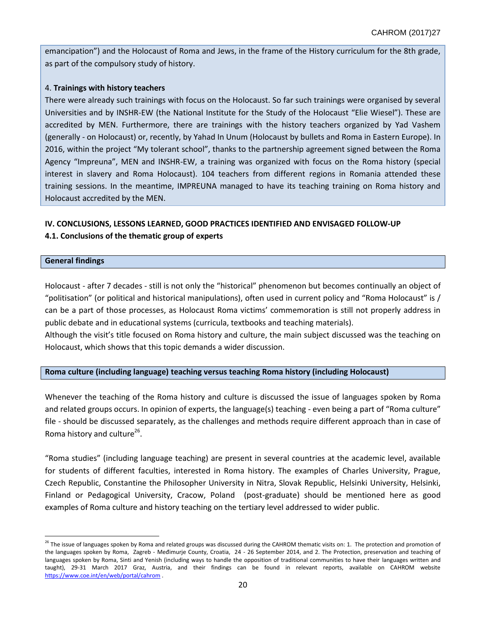emancipation") and the Holocaust of Roma and Jews, in the frame of the History curriculum for the 8th grade, as part of the compulsory study of history.

## 4. **Trainings with history teachers**

There were already such trainings with focus on the Holocaust. So far such trainings were organised by several Universities and by INSHR-EW (the National Institute for the Study of the Holocaust "Elie Wiesel"). These are accredited by MEN. Furthermore, there are trainings with the history teachers organized by Yad Vashem (generally - on Holocaust) or, recently, by Yahad In Unum (Holocaust by bullets and Roma in Eastern Europe). In 2016, within the project "My tolerant school", thanks to the partnership agreement signed between the Roma Agency "Impreuna", MEN and INSHR-EW, a training was organized with focus on the Roma history (special interest in slavery and Roma Holocaust). 104 teachers from different regions in Romania attended these training sessions. In the meantime, IMPREUNA managed to have its teaching training on Roma history and Holocaust accredited by the MEN.

# **IV. CONCLUSIONS, LESSONS LEARNED, GOOD PRACTICES IDENTIFIED AND ENVISAGED FOLLOW-UP 4.1. Conclusions of the thematic group of experts**

**General findings**

 $\overline{a}$ 

Holocaust - after 7 decades - still is not only the "historical" phenomenon but becomes continually an object of "politisation" (or political and historical manipulations), often used in current policy and "Roma Holocaust" is / can be a part of those processes, as Holocaust Roma victims' commemoration is still not properly address in public debate and in educational systems (curricula, textbooks and teaching materials).

Although the visit's title focused on Roma history and culture, the main subject discussed was the teaching on Holocaust, which shows that this topic demands a wider discussion.

## **Roma culture (including language) teaching versus teaching Roma history (including Holocaust)**

Whenever the teaching of the Roma history and culture is discussed the issue of languages spoken by Roma and related groups occurs. In opinion of experts, the language(s) teaching - even being a part of "Roma culture" file - should be discussed separately, as the challenges and methods require different approach than in case of Roma history and culture<sup>26</sup>.

"Roma studies" (including language teaching) are present in several countries at the academic level, available for students of different faculties, interested in Roma history. The examples of Charles University, Prague, Czech Republic, Constantine the Philosopher University in Nitra, Slovak Republic, Helsinki University, Helsinki, Finland or Pedagogical University, Cracow, Poland (post-graduate) should be mentioned here as good examples of Roma culture and history teaching on the tertiary level addressed to wider public.

<sup>&</sup>lt;sup>26</sup> The issue of languages spoken by Roma and related groups was discussed during the CAHROM thematic visits on: 1. The protection and promotion of the languages spoken by Roma, Zagreb - Međimurje County, Croatia, 24 - 26 September 2014, and 2. The Protection, preservation and teaching of languages spoken by Roma, Sinti and Yenish (including ways to handle the opposition of traditional communities to have their languages written and taught), 29-31 March 2017 Graz, Austria, and their findings can be found in relevant reports, available on CAHROM website <https://www.coe.int/en/web/portal/cahrom> .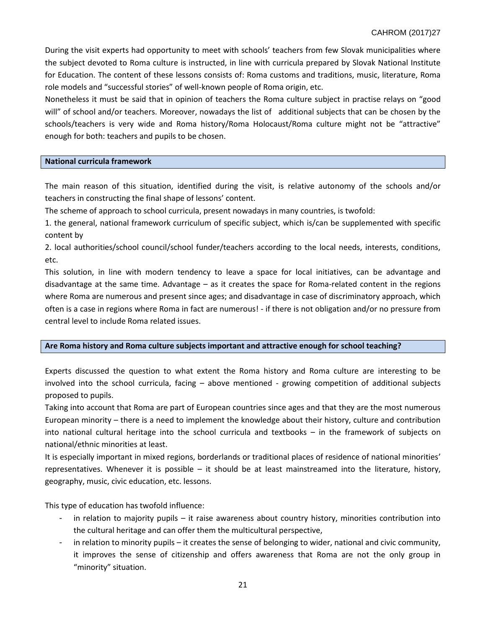During the visit experts had opportunity to meet with schools' teachers from few Slovak municipalities where the subject devoted to Roma culture is instructed, in line with curricula prepared by Slovak National Institute for Education. The content of these lessons consists of: Roma customs and traditions, music, literature, Roma role models and "successful stories" of well-known people of Roma origin, etc.

Nonetheless it must be said that in opinion of teachers the Roma culture subject in practise relays on "good will" of school and/or teachers. Moreover, nowadays the list of additional subjects that can be chosen by the schools/teachers is very wide and Roma history/Roma Holocaust/Roma culture might not be "attractive" enough for both: teachers and pupils to be chosen.

#### **National curricula framework**

The main reason of this situation, identified during the visit, is relative autonomy of the schools and/or teachers in constructing the final shape of lessons' content.

The scheme of approach to school curricula, present nowadays in many countries, is twofold:

1. the general, national framework curriculum of specific subject, which is/can be supplemented with specific content by

2. local authorities/school council/school funder/teachers according to the local needs, interests, conditions, etc.

This solution, in line with modern tendency to leave a space for local initiatives, can be advantage and disadvantage at the same time. Advantage – as it creates the space for Roma-related content in the regions where Roma are numerous and present since ages; and disadvantage in case of discriminatory approach, which often is a case in regions where Roma in fact are numerous! - if there is not obligation and/or no pressure from central level to include Roma related issues.

## **Are Roma history and Roma culture subjects important and attractive enough for school teaching?**

Experts discussed the question to what extent the Roma history and Roma culture are interesting to be involved into the school curricula, facing – above mentioned - growing competition of additional subjects proposed to pupils.

Taking into account that Roma are part of European countries since ages and that they are the most numerous European minority – there is a need to implement the knowledge about their history, culture and contribution into national cultural heritage into the school curricula and textbooks – in the framework of subjects on national/ethnic minorities at least.

It is especially important in mixed regions, borderlands or traditional places of residence of national minorities' representatives. Whenever it is possible – it should be at least mainstreamed into the literature, history, geography, music, civic education, etc. lessons.

This type of education has twofold influence:

- in relation to majority pupils  $-$  it raise awareness about country history, minorities contribution into the cultural heritage and can offer them the multicultural perspective,
- in relation to minority pupils it creates the sense of belonging to wider, national and civic community, it improves the sense of citizenship and offers awareness that Roma are not the only group in "minority" situation.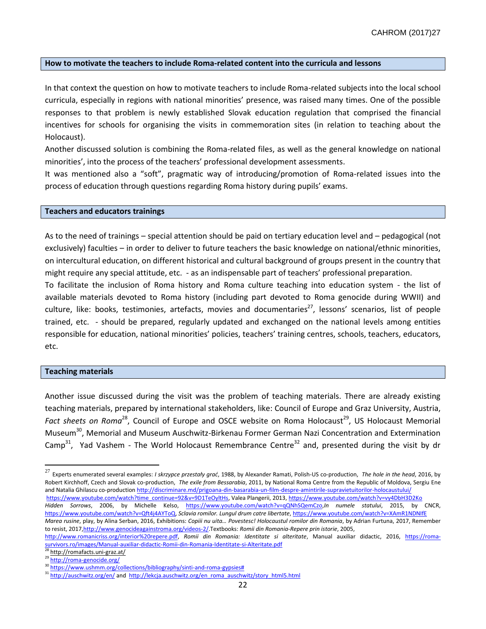#### **How to motivate the teachers to include Roma-related content into the curricula and lessons**

In that context the question on how to motivate teachers to include Roma-related subjects into the local school curricula, especially in regions with national minorities' presence, was raised many times. One of the possible responses to that problem is newly established Slovak education regulation that comprised the financial incentives for schools for organising the visits in commemoration sites (in relation to teaching about the Holocaust).

Another discussed solution is combining the Roma-related files, as well as the general knowledge on national minorities', into the process of the teachers' professional development assessments.

It was mentioned also a "soft", pragmatic way of introducing/promotion of Roma-related issues into the process of education through questions regarding Roma history during pupils' exams.

#### **Teachers and educators trainings**

As to the need of trainings – special attention should be paid on tertiary education level and – pedagogical (not exclusively) faculties – in order to deliver to future teachers the basic knowledge on national/ethnic minorities, on intercultural education, on different historical and cultural background of groups present in the country that might require any special attitude, etc. - as an indispensable part of teachers' professional preparation.

To facilitate the inclusion of Roma history and Roma culture teaching into education system - the list of available materials devoted to Roma history (including part devoted to Roma genocide during WWII) and culture, like: books, testimonies, artefacts, movies and documentaries<sup>27</sup>, lessons' scenarios, list of people trained, etc. - should be prepared, regularly updated and exchanged on the national levels among entities responsible for education, national minorities' policies, teachers' training centres, schools, teachers, educators, etc.

#### **Teaching materials**

 $\overline{\phantom{a}}$ 

Another issue discussed during the visit was the problem of teaching materials. There are already existing teaching materials, prepared by international stakeholders, like: Council of Europe and Graz University, Austria, Fact sheets on Roma<sup>28</sup>, Council of Europe and OSCE website on Roma Holocaust<sup>29</sup>, US Holocaust Memorial Museum<sup>30</sup>, Memorial and Museum Auschwitz-Birkenau Former German Nazi Concentration and Extermination Camp<sup>31</sup>, Yad Vashem - The World Holocaust Remembrance Centre<sup>32</sup> and, presented during the visit by dr

<sup>27</sup> Experts enumerated several examples: *I skrzypce przestały grać*, 1988, by Alexander Ramati, Polish-US co-production, *The hole in the head*, 2016, by Robert Kirchhoff, Czech and Slovak co-production, *The exile from Bessarabia*, 2011, by National Roma Centre from the Republic of Moldova, Sergiu Ene and Natalia Ghilascu co-production http://discriminare.md/prigoana-din-basarabia-un-film-despre-amintirile-supravietuitorilor-holocaustului/ [https://www.youtube.com/watch?time\\_continue=92&v=9D1TeOyltHs,](https://www.youtube.com/watch?time_continue=92&v=9D1TeOyltHs) Valea Plangerii, 2013[, https://www.youtube.com/watch?v=vy4DbH3D2Ko](https://www.youtube.com/watch?v=vy4DbH3D2Ko)

*Hidden Sorrows*, 2006, by Michelle Kelso, [https://www.youtube.com/watch?v=qQNhSQemCzo,](https://www.youtube.com/watch?v=qQNhSQemCzo)*In numele statului*, 2015, by CNCR, [https://www.youtube.com/watch?v=Qft4j4AYToQ,](https://www.youtube.com/watch?v=Qft4j4AYToQ) *Sclavia romilor. Lungul drum catre libertate*[, https://www.youtube.com/watch?v=XAmR1NDNIfE](https://www.youtube.com/watch?v=XAmR1NDNIfE)

*Marea rusine*, play, by Alina Serban, 2016, Exhibitions: *Copiii nu uita… Povestesc! Holocaustul romilor din Romania*, by Adrian Furtuna, 2017, Remember to resist, 2017[,http://www.genocideagainstroma.org/videos-2/.T](http://www.genocideagainstroma.org/videos-2/)extbooks: *Romii din Romania-Repere prin istorie*, 2005,

[http://www.romanicriss.org/interior%20repere.pdf,](http://www.romanicriss.org/interior%20repere.pdf) *Romii din Romania: Identitate si alteritate*, Manual auxiliar didactic, 2016, [https://roma](https://roma-survivors.ro/images/Manual-auxiliar-didactic-Romii-din-Romania-Identitate-si-Alteritate.pdf)urvivors.ro/images/Manual-auxiliar-didactic-Romii-din-Romania-Identitate-si-Alteritate.pdf

<sup>&</sup>lt;sup>29</sup> http://romafacts.uni-graz.at/

 $\frac{^{29}}{^{30}}$  <http://roma-genocide.org/>

 $\frac{30 \text{ https://www.ushmm.org/collections/bibliography/sinti-and-roma-gypsies#}{31 \text{ https://www.ushmm.org/collections/bibliography/sinti-and-roma-gypsies#}{31 \text{ https://www.ushmm.org/col/2ndo-http://www.ushmm.org/col/2ndo-http://www.wshmm.org/col/2ndo-http://www.wshmm.org/col/2ndo-http://www.wshmm.org/col/2ndo-http://www.wshmm.org/col/2ndo-http://www.wshmm.org/col/2ndo-http://www.wshmm.org/col/2ndo-http://www.wshmm.org/col/2ndo-http://www.wshmm.org/col/2ndo-http://www.wshmm.org/col/2ndo \frac{30 \text{ https://www.ushmm.org/collections/bibliography/sinti-and-roma-gypsies#}{31 \text{ https://www.ushmm.org/collections/bibliography/sinti-and-roma-gypsies#}{31 \text{ https://www.ushmm.org/col/2ndo-http://www.ushmm.org/col/2ndo-http://www.wshmm.org/col/2ndo-http://www.wshmm.org/col/2ndo-http://www.wshmm.org/col/2ndo-http://www.wshmm.org/col/2ndo-http://www.wshmm.org/col/2ndo-http://www.wshmm.org/col/2ndo-http://www.wshmm.org/col/2ndo-http://www.wshmm.org/col/2ndo-http://www.wshmm.org/col/2ndo \frac{30 \text{ https://www.ushmm.org/collections/bibliography/sinti-and-roma-gypsies#}{31 \text{ https://www.ushmm.org/collections/bibliography/sinti-and-roma-gypsies#}{31 \text{ https://www.ushmm.org/col/2ndo-http://www.ushmm.org/col/2ndo-http://www.wshmm.org/col/2ndo-http://www.wshmm.org/col/2ndo-http://www.wshmm.org/col/2ndo-http://www.wshmm.org/col/2ndo-http://www.wshmm.org/col/2ndo-http://www.wshmm.org/col/2ndo-http://www.wshmm.org/col/2ndo-http://www.wshmm.org/col/2ndo-http://www.wshmm.org/col/2ndo-$ 

<http://auschwitz.org/en/> and [http://lekcja.auschwitz.org/en\\_roma\\_auschwitz/story\\_html5.html](http://lekcja.auschwitz.org/en_roma_auschwitz/story_html5.html)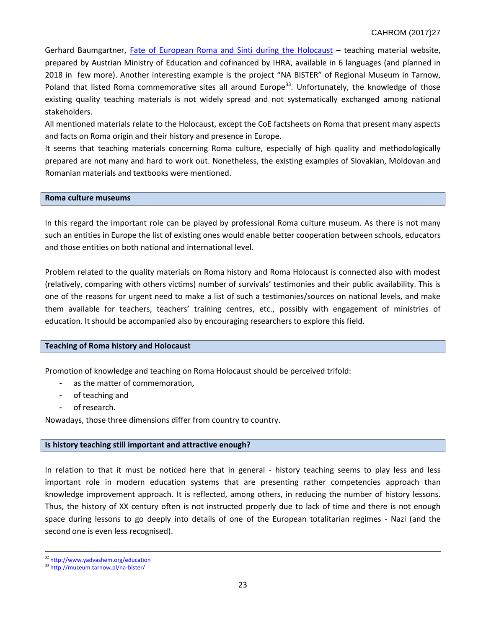Gerhard Baumgartner, [Fate of European Roma and Sinti during the Holocaust](http://www.romasintigenocide.eu/) – teaching material website, prepared by Austrian Ministry of Education and cofinanced by IHRA, available in 6 languages (and planned in 2018 in few more). Another interesting example is the project "NA BISTER" of Regional Museum in Tarnow, Poland that listed Roma commemorative sites all around Europe<sup>33</sup>. Unfortunately, the knowledge of those existing quality teaching materials is not widely spread and not systematically exchanged among national stakeholders.

All mentioned materials relate to the Holocaust, except the CoE factsheets on Roma that present many aspects and facts on Roma origin and their history and presence in Europe.

It seems that teaching materials concerning Roma culture, especially of high quality and methodologically prepared are not many and hard to work out. Nonetheless, the existing examples of Slovakian, Moldovan and Romanian materials and textbooks were mentioned.

## **Roma culture museums**

In this regard the important role can be played by professional Roma culture museum. As there is not many such an entities in Europe the list of existing ones would enable better cooperation between schools, educators and those entities on both national and international level.

Problem related to the quality materials on Roma history and Roma Holocaust is connected also with modest (relatively, comparing with others victims) number of survivals' testimonies and their public availability. This is one of the reasons for urgent need to make a list of such a testimonies/sources on national levels, and make them available for teachers, teachers' training centres, etc., possibly with engagement of ministries of education. It should be accompanied also by encouraging researchers to explore this field.

#### **Teaching of Roma history and Holocaust**

Promotion of knowledge and teaching on Roma Holocaust should be perceived trifold:

- as the matter of commemoration,
- of teaching and
- of research.

Nowadays, those three dimensions differ from country to country.

## **Is history teaching still important and attractive enough?**

In relation to that it must be noticed here that in general - history teaching seems to play less and less important role in modern education systems that are presenting rather competencies approach than knowledge improvement approach. It is reflected, among others, in reducing the number of history lessons. Thus, the history of XX century often is not instructed properly due to lack of time and there is not enough space during lessons to go deeply into details of one of the European totalitarian regimes - Nazi (and the second one is even less recognised).

 $\overline{a}$ 

<sup>&</sup>lt;sup>32</sup> <http://www.yadvashem.org/education>

<sup>33</sup> <http://muzeum.tarnow.pl/na-bister/>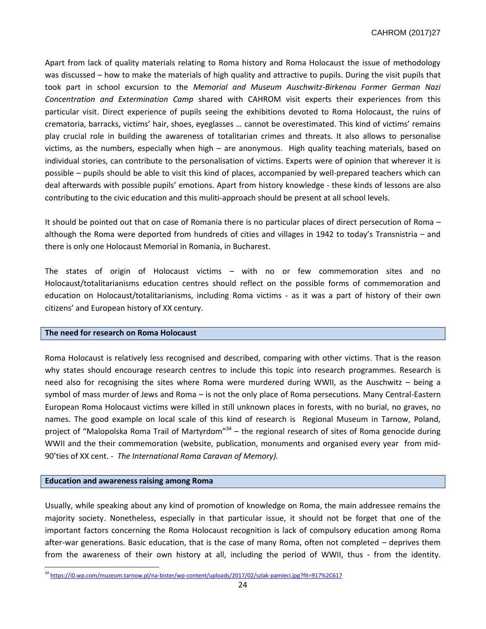Apart from lack of quality materials relating to Roma history and Roma Holocaust the issue of methodology was discussed – how to make the materials of high quality and attractive to pupils. During the visit pupils that took part in school excursion to the *Memorial and Museum Auschwitz-Birkenau Former German Nazi Concentration and Extermination Camp* shared with CAHROM visit experts their experiences from this particular visit. Direct experience of pupils seeing the exhibitions devoted to Roma Holocaust, the ruins of crematoria, barracks, victims' hair, shoes, eyeglasses … cannot be overestimated. This kind of victims' remains play crucial role in building the awareness of totalitarian crimes and threats. It also allows to personalise victims, as the numbers, especially when high – are anonymous. High quality teaching materials, based on individual stories, can contribute to the personalisation of victims. Experts were of opinion that wherever it is possible – pupils should be able to visit this kind of places, accompanied by well-prepared teachers which can deal afterwards with possible pupils' emotions. Apart from history knowledge - these kinds of lessons are also contributing to the civic education and this muliti-approach should be present at all school levels.

It should be pointed out that on case of Romania there is no particular places of direct persecution of Roma – although the Roma were deported from hundreds of cities and villages in 1942 to today's Transnistria – and there is only one Holocaust Memorial in Romania, in Bucharest.

The states of origin of Holocaust victims – with no or few commemoration sites and no Holocaust/totalitarianisms education centres should reflect on the possible forms of commemoration and education on Holocaust/totalitarianisms, including Roma victims - as it was a part of history of their own citizens' and European history of XX century.

#### **The need for research on Roma Holocaust**

Roma Holocaust is relatively less recognised and described, comparing with other victims. That is the reason why states should encourage research centres to include this topic into research programmes. Research is need also for recognising the sites where Roma were murdered during WWII, as the Auschwitz – being a symbol of mass murder of Jews and Roma – is not the only place of Roma persecutions. Many Central-Eastern European Roma Holocaust victims were killed in still unknown places in forests, with no burial, no graves, no names. The good example on local scale of this kind of research is Regional Museum in Tarnow, Poland, project of "Malopolska Roma Trail of Martyrdom"<sup>34</sup> – the regional research of sites of Roma genocide during WWII and the their commemoration (website, publication, monuments and organised every year from mid-90'ties of XX cent. - *The International Roma Caravan of Memory).*

#### **Education and awareness raising among Roma**

 $\overline{a}$ 

Usually, while speaking about any kind of promotion of knowledge on Roma, the main addressee remains the majority society. Nonetheless, especially in that particular issue, it should not be forget that one of the important factors concerning the Roma Holocaust recognition is lack of compulsory education among Roma after-war generations. Basic education, that is the case of many Roma, often not completed – deprives them from the awareness of their own history at all, including the period of WWII, thus - from the identity.

<sup>34</sup> <https://i0.wp.com/muzeum.tarnow.pl/na-bister/wp-content/uploads/2017/02/szlak-pamieci.jpg?fit=917%2C617>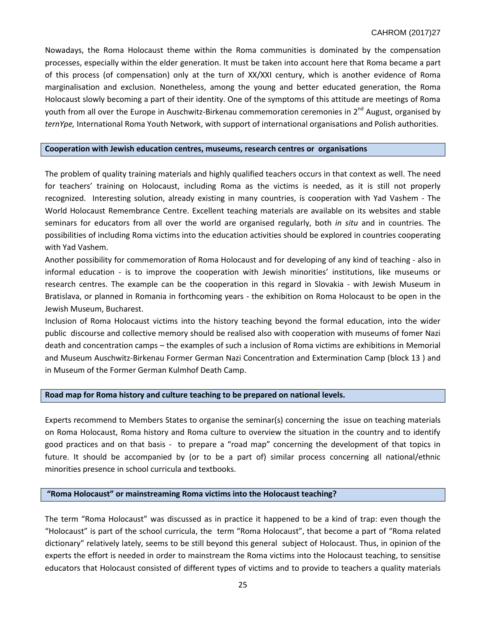Nowadays, the Roma Holocaust theme within the Roma communities is dominated by the compensation processes, especially within the elder generation. It must be taken into account here that Roma became a part of this process (of compensation) only at the turn of XX/XXI century, which is another evidence of Roma marginalisation and exclusion. Nonetheless, among the young and better educated generation, the Roma Holocaust slowly becoming a part of their identity. One of the symptoms of this attitude are meetings of Roma youth from all over the Europe in Auschwitz-Birkenau commemoration ceremonies in 2<sup>nd</sup> August, organised by *ternYpe,* International Roma Youth Network, with support of international organisations and Polish authorities.

#### **Cooperation with Jewish education centres, museums, research centres or organisations**

The problem of quality training materials and highly qualified teachers occurs in that context as well. The need for teachers' training on Holocaust, including Roma as the victims is needed, as it is still not properly recognized. Interesting solution, already existing in many countries, is cooperation with Yad Vashem - The World Holocaust Remembrance Centre. Excellent teaching materials are available on its websites and stable seminars for educators from all over the world are organised regularly, both *in situ* and in countries. The possibilities of including Roma victims into the education activities should be explored in countries cooperating with Yad Vashem.

Another possibility for commemoration of Roma Holocaust and for developing of any kind of teaching - also in informal education - is to improve the cooperation with Jewish minorities' institutions, like museums or research centres. The example can be the cooperation in this regard in Slovakia - with Jewish Museum in Bratislava, or planned in Romania in forthcoming years - the exhibition on Roma Holocaust to be open in the Jewish Museum, Bucharest.

Inclusion of Roma Holocaust victims into the history teaching beyond the formal education, into the wider public discourse and collective memory should be realised also with cooperation with museums of fomer Nazi death and concentration camps – the examples of such a inclusion of Roma victims are exhibitions in Memorial and Museum Auschwitz-Birkenau Former German Nazi Concentration and Extermination Camp (block 13 ) and in Museum of the Former German Kulmhof Death Camp.

## **Road map for Roma history and culture teaching to be prepared on national levels.**

Experts recommend to Members States to organise the seminar(s) concerning the issue on teaching materials on Roma Holocaust, Roma history and Roma culture to overview the situation in the country and to identify good practices and on that basis - to prepare a "road map" concerning the development of that topics in future. It should be accompanied by (or to be a part of) similar process concerning all national/ethnic minorities presence in school curricula and textbooks.

#### **"Roma Holocaust" or mainstreaming Roma victims into the Holocaust teaching?**

The term "Roma Holocaust" was discussed as in practice it happened to be a kind of trap: even though the "Holocaust" is part of the school curricula, the term "Roma Holocaust", that become a part of "Roma related dictionary" relatively lately, seems to be still beyond this general subject of Holocaust. Thus, in opinion of the experts the effort is needed in order to mainstream the Roma victims into the Holocaust teaching, to sensitise educators that Holocaust consisted of different types of victims and to provide to teachers a quality materials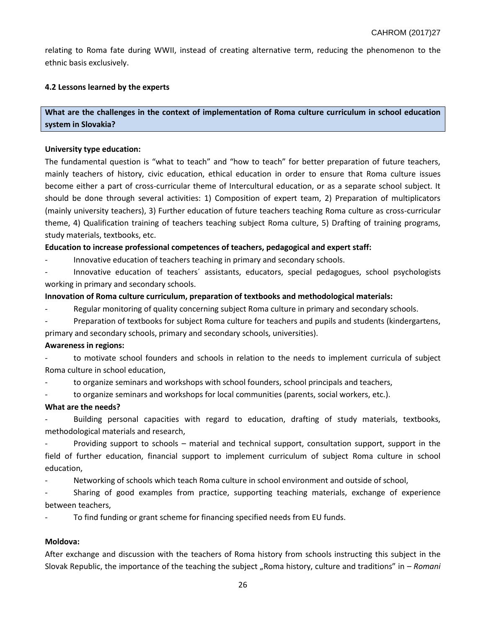relating to Roma fate during WWII, instead of creating alternative term, reducing the phenomenon to the ethnic basis exclusively.

## **4.2 Lessons learned by the experts**

## **What are the challenges in the context of implementation of Roma culture curriculum in school education system in Slovakia?**

## **University type education:**

The fundamental question is "what to teach" and "how to teach" for better preparation of future teachers, mainly teachers of history, civic education, ethical education in order to ensure that Roma culture issues become either a part of cross-curricular theme of Intercultural education, or as a separate school subject. It should be done through several activities: 1) Composition of expert team, 2) Preparation of multiplicators (mainly university teachers), 3) Further education of future teachers teaching Roma culture as cross-curricular theme, 4) Qualification training of teachers teaching subject Roma culture, 5) Drafting of training programs, study materials, textbooks, etc.

**Education to increase professional competences of teachers, pedagogical and expert staff:**

- Innovative education of teachers teaching in primary and secondary schools.

- Innovative education of teachers´ assistants, educators, special pedagogues, school psychologists working in primary and secondary schools.

### **Innovation of Roma culture curriculum, preparation of textbooks and methodological materials:**

Regular monitoring of quality concerning subject Roma culture in primary and secondary schools.

Preparation of textbooks for subject Roma culture for teachers and pupils and students (kindergartens, primary and secondary schools, primary and secondary schools, universities).

#### **Awareness in regions:**

to motivate school founders and schools in relation to the needs to implement curricula of subject Roma culture in school education,

to organize seminars and workshops with school founders, school principals and teachers,

to organize seminars and workshops for local communities (parents, social workers, etc.).

#### **What are the needs?**

Building personal capacities with regard to education, drafting of study materials, textbooks, methodological materials and research,

Providing support to schools – material and technical support, consultation support, support in the field of further education, financial support to implement curriculum of subject Roma culture in school education,

Networking of schools which teach Roma culture in school environment and outside of school,

Sharing of good examples from practice, supporting teaching materials, exchange of experience between teachers,

To find funding or grant scheme for financing specified needs from EU funds.

## **Moldova:**

After exchange and discussion with the teachers of Roma history from schools instructing this subject in the Slovak Republic, the importance of the teaching the subject "Roma history, culture and traditions" in – *Romani*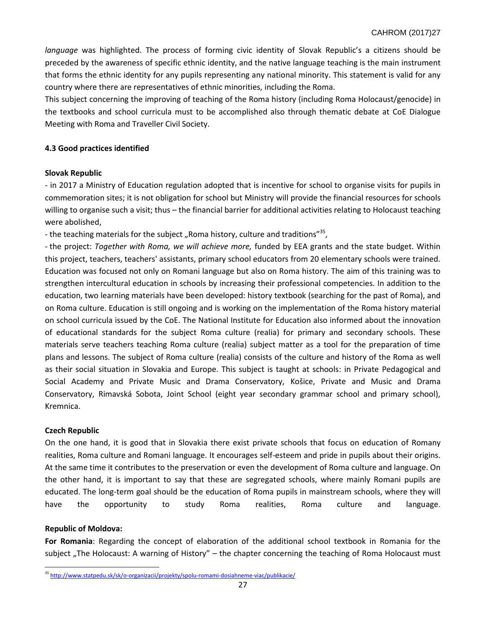*language* was highlighted. The process of forming civic identity of Slovak Republic's a citizens should be preceded by the awareness of specific ethnic identity, and the native language teaching is the main instrument that forms the ethnic identity for any pupils representing any national minority. This statement is valid for any country where there are representatives of ethnic minorities, including the Roma.

This subject concerning the improving of teaching of the Roma history (including Roma Holocaust/genocide) in the textbooks and school curricula must to be accomplished also through thematic debate at CoE Dialogue Meeting with Roma and Traveller Civil Society.

## **4.3 Good practices identified**

### **Slovak Republic**

- in 2017 a Ministry of Education regulation adopted that is incentive for school to organise visits for pupils in commemoration sites; it is not obligation for school but Ministry will provide the financial resources for schools willing to organise such a visit; thus – the financial barrier for additional activities relating to Holocaust teaching were abolished,

- the teaching materials for the subject "Roma history, culture and traditions"<sup>35</sup>,

- the project: *Together with Roma, we will achieve more,* funded by EEA grants and the state budget. Within this project, teachers, teachers' assistants, primary school educators from 20 elementary schools were trained. Education was focused not only on Romani language but also on Roma history. The aim of this training was to strengthen intercultural education in schools by increasing their professional competencies. In addition to the education, two learning materials have been developed: history textbook (searching for the past of Roma), and on Roma culture. Education is still ongoing and is working on the implementation of the Roma history material on school curricula issued by the CoE. The National Institute for Education also informed about the innovation of educational standards for the subject Roma culture (realia) for primary and secondary schools. These materials serve teachers teaching Roma culture (realia) subject matter as a tool for the preparation of time plans and lessons. The subject of Roma culture (realia) consists of the culture and history of the Roma as well as their social situation in Slovakia and Europe. This subject is taught at schools: in Private Pedagogical and Social Academy and Private Music and Drama Conservatory, Košice, Private and Music and Drama Conservatory, Rimavská Sobota, Joint School (eight year secondary grammar school and primary school), Kremnica.

#### **Czech Republic**

On the one hand, it is good that in Slovakia there exist private schools that focus on education of Romany realities, Roma culture and Romani language. It encourages self-esteem and pride in pupils about their origins. At the same time it contributes to the preservation or even the development of Roma culture and language. On the other hand, it is important to say that these are segregated schools, where mainly Romani pupils are educated. The long-term goal should be the education of Roma pupils in mainstream schools, where they will have the opportunity to study Roma realities, Roma culture and language.

#### **Republic of Moldova:**

 $\overline{a}$ 

**For Romania**: Regarding the concept of elaboration of the additional school textbook in Romania for the subject "The Holocaust: A warning of History" – the chapter concerning the teaching of Roma Holocaust must

<sup>&</sup>lt;sup>35</sup> <http://www.statpedu.sk/sk/o-organizacii/projekty/spolu-romami-dosiahneme-viac/publikacie/>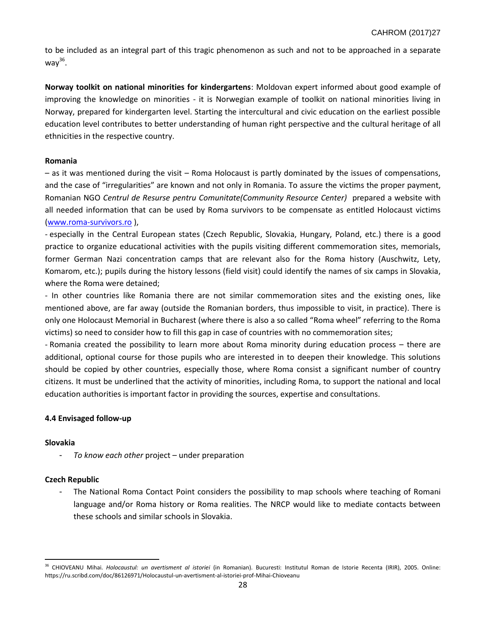to be included as an integral part of this tragic phenomenon as such and not to be approached in a separate way $^{36}$ .

**Norway toolkit on national minorities for kindergartens**: Moldovan expert informed about good example of improving the knowledge on minorities - it is Norwegian example of toolkit on national minorities living in Norway, prepared for kindergarten level. Starting the intercultural and civic education on the earliest possible education level contributes to better understanding of human right perspective and the cultural heritage of all ethnicities in the respective country.

### **Romania**

– as it was mentioned during the visit – Roma Holocaust is partly dominated by the issues of compensations, and the case of "irregularities" are known and not only in Romania. To assure the victims the proper payment, Romanian NGO *Centrul de Resurse pentru Comunitate(Community Resource Center)* prepared a website with all needed information that can be used by Roma survivors to be compensate as entitled Holocaust victims [\(www.roma-survivors.ro](http://www.roma-survivors.ro/) ),

- especially in the Central European states (Czech Republic, Slovakia, Hungary, Poland, etc.) there is a good practice to organize educational activities with the pupils visiting different commemoration sites, memorials, former German Nazi concentration camps that are relevant also for the Roma history (Auschwitz, Lety, Komarom, etc.); pupils during the history lessons (field visit) could identify the names of six camps in Slovakia, where the Roma were detained;

- In other countries like Romania there are not similar commemoration sites and the existing ones, like mentioned above, are far away (outside the Romanian borders, thus impossible to visit, in practice). There is only one Holocaust Memorial in Bucharest (where there is also a so called "Roma wheel" referring to the Roma victims) so need to consider how to fill this gap in case of countries with no commemoration sites;

- Romania created the possibility to learn more about Roma minority during education process – there are additional, optional course for those pupils who are interested in to deepen their knowledge. This solutions should be copied by other countries, especially those, where Roma consist a significant number of country citizens. It must be underlined that the activity of minorities, including Roma, to support the national and local education authorities is important factor in providing the sources, expertise and consultations.

## **4.4 Envisaged follow-up**

## **Slovakia**

 $\overline{a}$ 

To know each other project – under preparation

## **Czech Republic**

The National Roma Contact Point considers the possibility to map schools where teaching of Romani language and/or Roma history or Roma realities. The NRCP would like to mediate contacts between these schools and similar schools in Slovakia.

<sup>36</sup> CHIOVEANU Mihai. *Holocaustul: un avertisment al istoriei* (in Romanian). Bucuresti: Institutul Roman de Istorie Recenta (IRIR), 2005. Online: https://ru.scribd.com/doc/86126971/Holocaustul-un-avertisment-al-istoriei-prof-Mihai-Chioveanu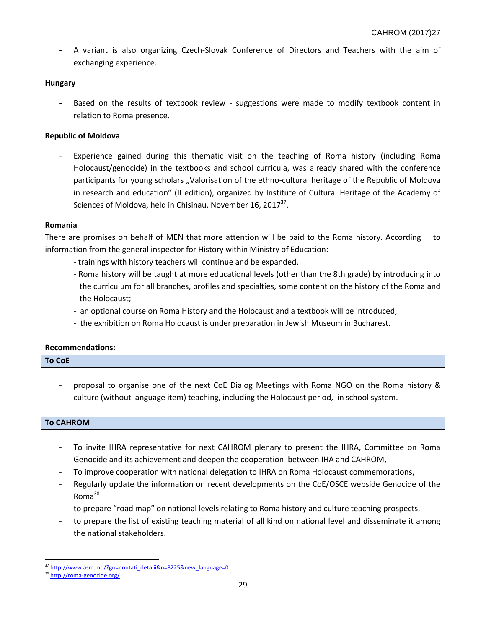A variant is also organizing Czech-Slovak Conference of Directors and Teachers with the aim of exchanging experience.

## **Hungary**

- Based on the results of textbook review - suggestions were made to modify textbook content in relation to Roma presence.

## **Republic of Moldova**

- Experience gained during this thematic visit on the teaching of Roma history (including Roma Holocaust/genocide) in the textbooks and school curricula, was already shared with the conference participants for young scholars "Valorisation of the ethno-cultural heritage of the Republic of Moldova in research and education" (II edition), organized by Institute of Cultural Heritage of the Academy of Sciences of Moldova, held in Chisinau, November 16, 2017 $^{37}$ .

## **Romania**

There are promises on behalf of MEN that more attention will be paid to the Roma history. According to information from the general inspector for History within Ministry of Education:

- trainings with history teachers will continue and be expanded,
- Roma history will be taught at more educational levels (other than the 8th grade) by introducing into the curriculum for all branches, profiles and specialties, some content on the history of the Roma and the Holocaust;
- an optional course on Roma History and the Holocaust and a textbook will be introduced,
- the exhibition on Roma Holocaust is under preparation in Jewish Museum in Bucharest.

## **Recommendations:**

## **To CoE**

- proposal to organise one of the next CoE Dialog Meetings with Roma NGO on the Roma history & culture (without language item) teaching, including the Holocaust period, in school system.

## **To CAHROM**

- To invite IHRA representative for next CAHROM plenary to present the IHRA, Committee on Roma Genocide and its achievement and deepen the cooperation between IHA and CAHROM,
- To improve cooperation with national delegation to IHRA on Roma Holocaust commemorations,
- Regularly update the information on recent developments on the CoE/OSCE webside Genocide of the Roma<sup>38</sup>
- to prepare "road map" on national levels relating to Roma history and culture teaching prospects,
- to prepare the list of existing teaching material of all kind on national level and disseminate it among the national stakeholders.

 $\overline{a}$ 

[http://www.asm.md/?go=noutati\\_detalii&n=8225&new\\_language=0](http://www.asm.md/?go=noutati_detalii&n=8225&new_language=0)

<sup>38</sup> <http://roma-genocide.org/>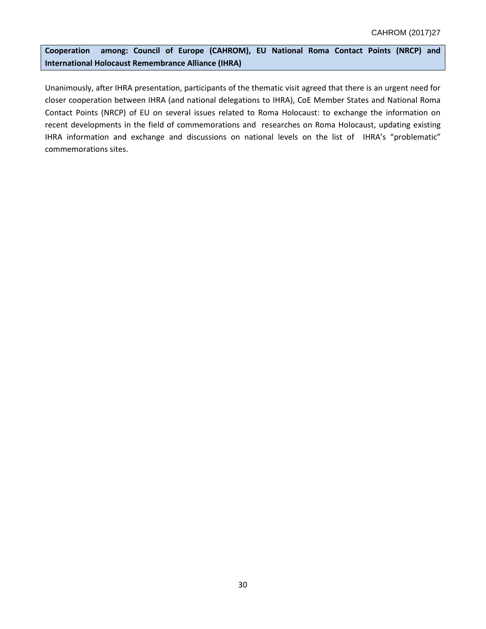**Cooperation among: Council of Europe (CAHROM), EU National Roma Contact Points (NRCP) and International Holocaust Remembrance Alliance (IHRA)**

Unanimously, after IHRA presentation, participants of the thematic visit agreed that there is an urgent need for closer cooperation between IHRA (and national delegations to IHRA), CoE Member States and National Roma Contact Points (NRCP) of EU on several issues related to Roma Holocaust: to exchange the information on recent developments in the field of commemorations and researches on Roma Holocaust, updating existing IHRA information and exchange and discussions on national levels on the list of IHRA's "problematic" commemorations sites.